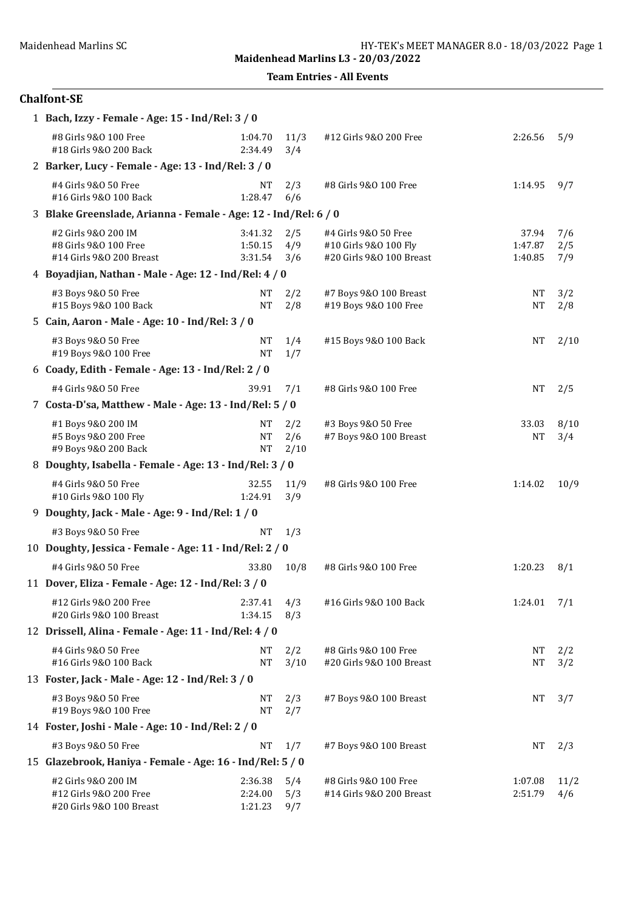Team Entries - All Events

## Chalfont-SE

| 1 Bach, Izzy - Female - Age: 15 - Ind/Rel: 3 / 0                          |                               |                    |                                                                           |                             |                   |  |  |  |  |
|---------------------------------------------------------------------------|-------------------------------|--------------------|---------------------------------------------------------------------------|-----------------------------|-------------------|--|--|--|--|
| #8 Girls 9&0 100 Free<br>#18 Girls 9&0 200 Back                           | 1:04.70<br>2:34.49            | 11/3<br>3/4        | #12 Girls 9&0 200 Free                                                    | 2:26.56                     | 5/9               |  |  |  |  |
| 2 Barker, Lucy - Female - Age: 13 - Ind/Rel: 3 / 0                        |                               |                    |                                                                           |                             |                   |  |  |  |  |
| #4 Girls 9&0 50 Free<br>#16 Girls 9&0 100 Back                            | NΤ<br>1:28.47                 | 2/3<br>6/6         | #8 Girls 9&0 100 Free                                                     | 1:14.95                     | 9/7               |  |  |  |  |
| 3 Blake Greenslade, Arianna - Female - Age: 12 - Ind/Rel: 6 / 0           |                               |                    |                                                                           |                             |                   |  |  |  |  |
| #2 Girls 9&0 200 IM<br>#8 Girls 9&0 100 Free<br>#14 Girls 9&0 200 Breast  | 3:41.32<br>1:50.15<br>3:31.54 | 2/5<br>4/9<br>3/6  | #4 Girls 9&0 50 Free<br>#10 Girls 9&0 100 Fly<br>#20 Girls 9&0 100 Breast | 37.94<br>1:47.87<br>1:40.85 | 7/6<br>2/5<br>7/9 |  |  |  |  |
| 4 Boyadjian, Nathan - Male - Age: 12 - Ind/Rel: 4 / 0                     |                               |                    |                                                                           |                             |                   |  |  |  |  |
| #3 Boys 9&0 50 Free<br>#15 Boys 9&0 100 Back                              | NΤ<br><b>NT</b>               | 2/2<br>2/8         | #7 Boys 9&0 100 Breast<br>#19 Boys 9&0 100 Free                           | <b>NT</b><br><b>NT</b>      | 3/2<br>2/8        |  |  |  |  |
| 5 Cain, Aaron - Male - Age: 10 - Ind/Rel: 3 / 0                           |                               |                    |                                                                           |                             |                   |  |  |  |  |
| #3 Boys 9&0 50 Free<br>#19 Boys 9&0 100 Free                              | NΤ<br><b>NT</b>               | 1/4<br>1/7         | #15 Boys 9&0 100 Back                                                     | NT                          | 2/10              |  |  |  |  |
| 6 Coady, Edith - Female - Age: 13 - Ind/Rel: 2 / 0                        |                               |                    |                                                                           |                             |                   |  |  |  |  |
| #4 Girls 9&0 50 Free                                                      | 39.91                         | 7/1                | #8 Girls 9&0 100 Free                                                     | <b>NT</b>                   | 2/5               |  |  |  |  |
| 7 Costa-D'sa, Matthew - Male - Age: 13 - Ind/Rel: 5 / 0                   |                               |                    |                                                                           |                             |                   |  |  |  |  |
| #1 Boys 9&0 200 IM<br>#5 Boys 9&0 200 Free<br>#9 Boys 9&0 200 Back        | NΤ<br><b>NT</b><br><b>NT</b>  | 2/2<br>2/6<br>2/10 | #3 Boys 9&0 50 Free<br>#7 Boys 9&0 100 Breast                             | 33.03<br><b>NT</b>          | 8/10<br>3/4       |  |  |  |  |
| 8 Doughty, Isabella - Female - Age: 13 - Ind/Rel: 3 / 0                   |                               |                    |                                                                           |                             |                   |  |  |  |  |
| #4 Girls 9&0 50 Free<br>#10 Girls 9&0 100 Fly                             | 32.55<br>1:24.91              | 11/9<br>3/9        | #8 Girls 9&0 100 Free                                                     | 1:14.02                     | 10/9              |  |  |  |  |
| 9 Doughty, Jack - Male - Age: 9 - Ind/Rel: 1 / 0                          |                               |                    |                                                                           |                             |                   |  |  |  |  |
| #3 Boys 9&0 50 Free                                                       | <b>NT</b>                     | 1/3                |                                                                           |                             |                   |  |  |  |  |
| 10 Doughty, Jessica - Female - Age: 11 - Ind/Rel: 2 / 0                   |                               |                    |                                                                           |                             |                   |  |  |  |  |
| #4 Girls 9&0 50 Free                                                      | 33.80                         | 10/8               | #8 Girls 9&0 100 Free                                                     | 1:20.23                     | 8/1               |  |  |  |  |
| 11 Dover, Eliza - Female - Age: 12 - Ind/Rel: 3 / 0                       |                               |                    |                                                                           |                             |                   |  |  |  |  |
| #12 Girls 9&0 200 Free<br>#20 Girls 9&0 100 Breast                        | 2:37.41<br>1:34.15            | 4/3<br>8/3         | #16 Girls 9&0 100 Back                                                    | $1:24.01$ $7/1$             |                   |  |  |  |  |
| 12 Drissell, Alina - Female - Age: 11 - Ind/Rel: 4 / 0                    |                               |                    |                                                                           |                             |                   |  |  |  |  |
| #4 Girls 9&0 50 Free<br>#16 Girls 9&0 100 Back                            | NT<br><b>NT</b>               | 2/2<br>3/10        | #8 Girls 9&0 100 Free<br>#20 Girls 9&0 100 Breast                         | <b>NT</b><br><b>NT</b>      | 2/2<br>3/2        |  |  |  |  |
| 13 Foster, Jack - Male - Age: 12 - Ind/Rel: 3 / 0                         |                               |                    |                                                                           |                             |                   |  |  |  |  |
| #3 Boys 9&0 50 Free<br>#19 Boys 9&0 100 Free                              | NT<br><b>NT</b>               | 2/3<br>2/7         | #7 Boys 9&0 100 Breast                                                    | NT                          | 3/7               |  |  |  |  |
| 14 Foster, Joshi - Male - Age: 10 - Ind/Rel: 2 / 0                        |                               |                    |                                                                           |                             |                   |  |  |  |  |
| #3 Boys 9&0 50 Free                                                       | <b>NT</b>                     | 1/7                | #7 Boys 9&0 100 Breast                                                    | NT                          | 2/3               |  |  |  |  |
| 15 Glazebrook, Haniya - Female - Age: 16 - Ind/Rel: 5 / 0                 |                               |                    |                                                                           |                             |                   |  |  |  |  |
| #2 Girls 9&0 200 IM<br>#12 Girls 9&0 200 Free<br>#20 Girls 9&0 100 Breast | 2:36.38<br>2:24.00<br>1:21.23 | 5/4<br>5/3<br>9/7  | #8 Girls 9&0 100 Free<br>#14 Girls 9&0 200 Breast                         | 1:07.08<br>2:51.79          | 11/2<br>4/6       |  |  |  |  |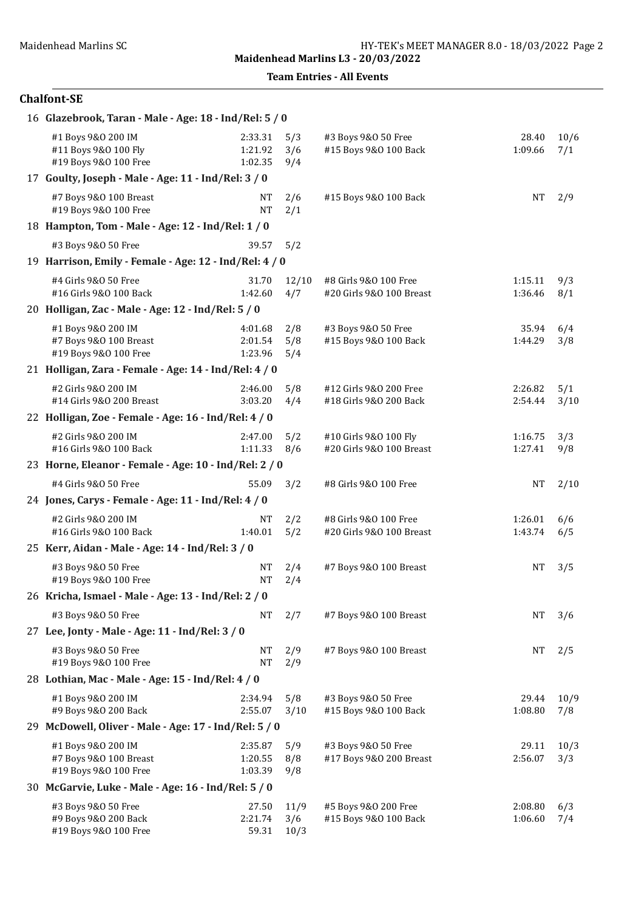Team Entries - All Events

### Chalfont-SE

| 16 Glazebrook, Taran - Male - Age: 18 - Ind/Rel: 5 / 0                |                               |                     |                                                   |                    |             |
|-----------------------------------------------------------------------|-------------------------------|---------------------|---------------------------------------------------|--------------------|-------------|
| #1 Boys 9&0 200 IM<br>#11 Boys 9&0 100 Fly<br>#19 Boys 9&0 100 Free   | 2:33.31<br>1:21.92<br>1:02.35 | 5/3<br>3/6<br>9/4   | #3 Boys 9&0 50 Free<br>#15 Boys 9&0 100 Back      | 28.40<br>1:09.66   | 10/6<br>7/1 |
| 17 Goulty, Joseph - Male - Age: 11 - Ind/Rel: 3 / 0                   |                               |                     |                                                   |                    |             |
| #7 Boys 9&0 100 Breast<br>#19 Boys 9&0 100 Free                       | NΤ<br><b>NT</b>               | 2/6<br>2/1          | #15 Boys 9&0 100 Back                             | <b>NT</b>          | 2/9         |
| 18 Hampton, Tom - Male - Age: 12 - Ind/Rel: 1 / 0                     |                               |                     |                                                   |                    |             |
| #3 Boys 9&0 50 Free                                                   | 39.57                         | 5/2                 |                                                   |                    |             |
| 19 Harrison, Emily - Female - Age: 12 - Ind/Rel: 4 / 0                |                               |                     |                                                   |                    |             |
| #4 Girls 9&0 50 Free<br>#16 Girls 9&0 100 Back                        | 31.70<br>1:42.60              | 12/10<br>4/7        | #8 Girls 9&0 100 Free<br>#20 Girls 9&0 100 Breast | 1:15.11<br>1:36.46 | 9/3<br>8/1  |
| 20 Holligan, Zac - Male - Age: 12 - Ind/Rel: 5 / 0                    |                               |                     |                                                   |                    |             |
| #1 Boys 9&0 200 IM<br>#7 Boys 9&0 100 Breast<br>#19 Boys 9&0 100 Free | 4:01.68<br>2:01.54<br>1:23.96 | 2/8<br>5/8<br>5/4   | #3 Boys 9&0 50 Free<br>#15 Boys 9&0 100 Back      | 35.94<br>1:44.29   | 6/4<br>3/8  |
| 21 Holligan, Zara - Female - Age: 14 - Ind/Rel: 4 / 0                 |                               |                     |                                                   |                    |             |
| #2 Girls 9&0 200 IM<br>#14 Girls 9&0 200 Breast                       | 2:46.00<br>3:03.20            | 5/8<br>4/4          | #12 Girls 9&0 200 Free<br>#18 Girls 9&0 200 Back  | 2:26.82<br>2:54.44 | 5/1<br>3/10 |
| 22 Holligan, Zoe - Female - Age: 16 - Ind/Rel: 4 / 0                  |                               |                     |                                                   |                    |             |
| #2 Girls 9&0 200 IM<br>#16 Girls 9&0 100 Back                         | 2:47.00<br>1:11.33            | 5/2<br>8/6          | #10 Girls 9&0 100 Fly<br>#20 Girls 9&0 100 Breast | 1:16.75<br>1:27.41 | 3/3<br>9/8  |
| 23 Horne, Eleanor - Female - Age: 10 - Ind/Rel: 2 / 0                 |                               |                     |                                                   |                    |             |
| #4 Girls 9&0 50 Free                                                  | 55.09                         | 3/2                 | #8 Girls 9&0 100 Free                             | NT                 | 2/10        |
| 24 Jones, Carys - Female - Age: 11 - Ind/Rel: 4 / 0                   |                               |                     |                                                   |                    |             |
| #2 Girls 9&0 200 IM<br>#16 Girls 9&0 100 Back                         | <b>NT</b><br>1:40.01          | 2/2<br>5/2          | #8 Girls 9&0 100 Free<br>#20 Girls 9&0 100 Breast | 1:26.01<br>1:43.74 | 6/6<br>6/5  |
| 25 Kerr, Aidan - Male - Age: 14 - Ind/Rel: 3 / 0                      |                               |                     |                                                   |                    |             |
| #3 Boys 9&0 50 Free<br>#19 Boys 9&0 100 Free                          | NΤ<br><b>NT</b>               | 2/4<br>2/4          | #7 Boys 9&0 100 Breast                            | NΤ                 | 3/5         |
| 26 Kricha, Ismael - Male - Age: 13 - Ind/Rel: 2 / 0                   |                               |                     |                                                   |                    |             |
| #3 Boys 9&0 50 Free                                                   | NT                            | 2/7                 | #7 Boys 9&0 100 Breast                            | NT                 | 3/6         |
| 27 Lee, Jonty - Male - Age: 11 - Ind/Rel: 3 / 0                       |                               |                     |                                                   |                    |             |
| #3 Boys 9&0 50 Free<br>#19 Boys 9&0 100 Free                          | <b>NT</b><br><b>NT</b>        | 2/9<br>2/9          | #7 Boys 9&0 100 Breast                            | NT                 | 2/5         |
| 28 Lothian, Mac - Male - Age: 15 - Ind/Rel: 4 / 0                     |                               |                     |                                                   |                    |             |
| #1 Boys 9&0 200 IM<br>#9 Boys 9&0 200 Back                            | 2:34.94<br>2:55.07            | 5/8<br>3/10         | #3 Boys 9&0 50 Free<br>#15 Boys 9&0 100 Back      | 29.44<br>1:08.80   | 10/9<br>7/8 |
| 29 McDowell, Oliver - Male - Age: 17 - Ind/Rel: 5 / 0                 |                               |                     |                                                   |                    |             |
| #1 Boys 9&0 200 IM<br>#7 Boys 9&0 100 Breast<br>#19 Boys 9&0 100 Free | 2:35.87<br>1:20.55<br>1:03.39 | 5/9<br>8/8<br>9/8   | #3 Boys 9&0 50 Free<br>#17 Boys 9&0 200 Breast    | 29.11<br>2:56.07   | 10/3<br>3/3 |
| 30 McGarvie, Luke - Male - Age: 16 - Ind/Rel: 5 / 0                   |                               |                     |                                                   |                    |             |
| #3 Boys 9&0 50 Free<br>#9 Boys 9&0 200 Back<br>#19 Boys 9&0 100 Free  | 27.50<br>2:21.74<br>59.31     | 11/9<br>3/6<br>10/3 | #5 Boys 9&0 200 Free<br>#15 Boys 9&0 100 Back     | 2:08.80<br>1:06.60 | 6/3<br>7/4  |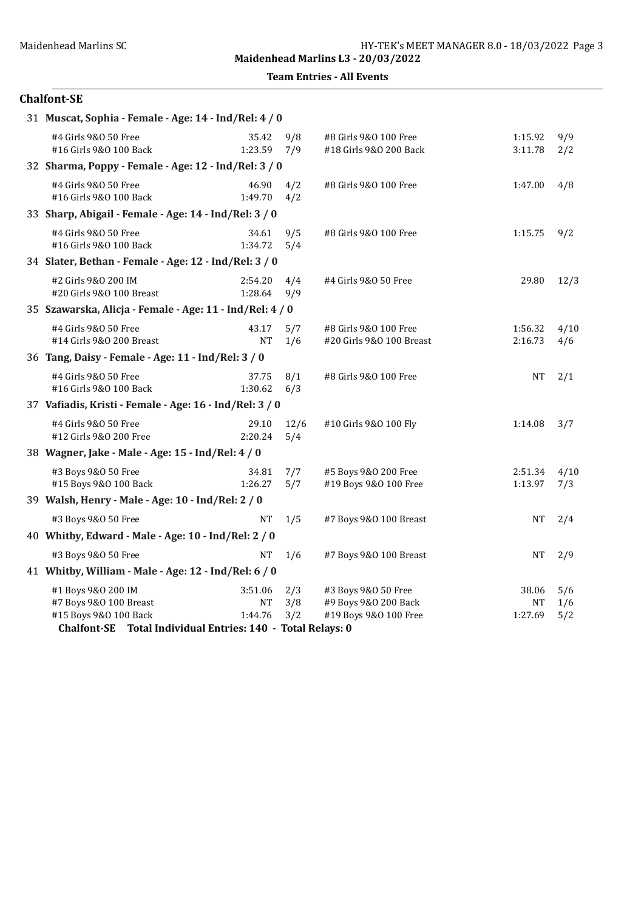Team Entries - All Events

#### Chalfont-SE

| 31 Muscat, Sophia - Female - Age: 14 - Ind/Rel: 4 / 0       |                    |             |                          |           |      |
|-------------------------------------------------------------|--------------------|-------------|--------------------------|-----------|------|
| #4 Girls 9&0 50 Free                                        | 35.42              | 9/8         | #8 Girls 9&0 100 Free    | 1:15.92   | 9/9  |
| #16 Girls 9&0 100 Back                                      | 1:23.59            | 7/9         | #18 Girls 9&0 200 Back   | 3:11.78   | 2/2  |
| 32 Sharma, Poppy - Female - Age: 12 - Ind/Rel: 3 / 0        |                    |             |                          |           |      |
| #4 Girls 9&0 50 Free<br>#16 Girls 9&0 100 Back              | 46.90<br>1:49.70   | 4/2<br>4/2  | #8 Girls 9&0 100 Free    | 1:47.00   | 4/8  |
| 33 Sharp, Abigail - Female - Age: 14 - Ind/Rel: 3 / 0       |                    |             |                          |           |      |
| #4 Girls 9&0 50 Free<br>#16 Girls 9&0 100 Back              | 34.61<br>1:34.72   | 9/5<br>5/4  | #8 Girls 9&0 100 Free    | 1:15.75   | 9/2  |
| 34 Slater, Bethan - Female - Age: 12 - Ind/Rel: 3 / 0       |                    |             |                          |           |      |
| #2 Girls 9&0 200 IM<br>#20 Girls 9&0 100 Breast             | 2:54.20<br>1:28.64 | 4/4<br>9/9  | #4 Girls 9&0 50 Free     | 29.80     | 12/3 |
| 35 Szawarska, Alicja - Female - Age: 11 - Ind/Rel: 4 / 0    |                    |             |                          |           |      |
| #4 Girls 9&0 50 Free                                        | 43.17              | 5/7         | #8 Girls 9&0 100 Free    | 1:56.32   | 4/10 |
| #14 Girls 9&0 200 Breast                                    | <b>NT</b>          | 1/6         | #20 Girls 9&0 100 Breast | 2:16.73   | 4/6  |
| 36 Tang, Daisy - Female - Age: 11 - Ind/Rel: 3 / 0          |                    |             |                          |           |      |
| #4 Girls 9&0 50 Free<br>#16 Girls 9&0 100 Back              | 37.75<br>1:30.62   | 8/1<br>6/3  | #8 Girls 9&0 100 Free    | NT        | 2/1  |
| 37 Vafiadis, Kristi - Female - Age: 16 - Ind/Rel: 3 / 0     |                    |             |                          |           |      |
| #4 Girls 9&0 50 Free<br>#12 Girls 9&0 200 Free              | 29.10<br>2:20.24   | 12/6<br>5/4 | #10 Girls 9&0 100 Fly    | 1:14.08   | 3/7  |
| 38 Wagner, Jake - Male - Age: 15 - Ind/Rel: 4 / 0           |                    |             |                          |           |      |
| #3 Boys 9&0 50 Free                                         | 34.81              | 7/7         | #5 Boys 9&0 200 Free     | 2:51.34   | 4/10 |
| #15 Boys 9&0 100 Back                                       | 1:26.27            | 5/7         | #19 Boys 9&0 100 Free    | 1:13.97   | 7/3  |
| 39 Walsh, Henry - Male - Age: 10 - Ind/Rel: 2 / 0           |                    |             |                          |           |      |
| #3 Boys 9&0 50 Free                                         | <b>NT</b>          | 1/5         | #7 Boys 9&0 100 Breast   | <b>NT</b> | 2/4  |
| 40 Whitby, Edward - Male - Age: 10 - Ind/Rel: 2 / 0         |                    |             |                          |           |      |
| #3 Boys 9&0 50 Free                                         | <b>NT</b>          | 1/6         | #7 Boys 9&0 100 Breast   | NT        | 2/9  |
| 41 Whitby, William - Male - Age: 12 - Ind/Rel: 6 / 0        |                    |             |                          |           |      |
| #1 Boys 9&0 200 IM                                          | 3:51.06            | 2/3         | #3 Boys 9&0 50 Free      | 38.06     | 5/6  |
| #7 Boys 9&0 100 Breast                                      | $\rm{NT}$          | 3/8         | #9 Boys 9&0 200 Back     | NT        | 1/6  |
| #15 Boys 9&0 100 Back                                       | 1:44.76            | 3/2         | #19 Boys 9&0 100 Free    | 1:27.69   | 5/2  |
| Chalfont-SE Total Individual Entries: 140 - Total Relays: 0 |                    |             |                          |           |      |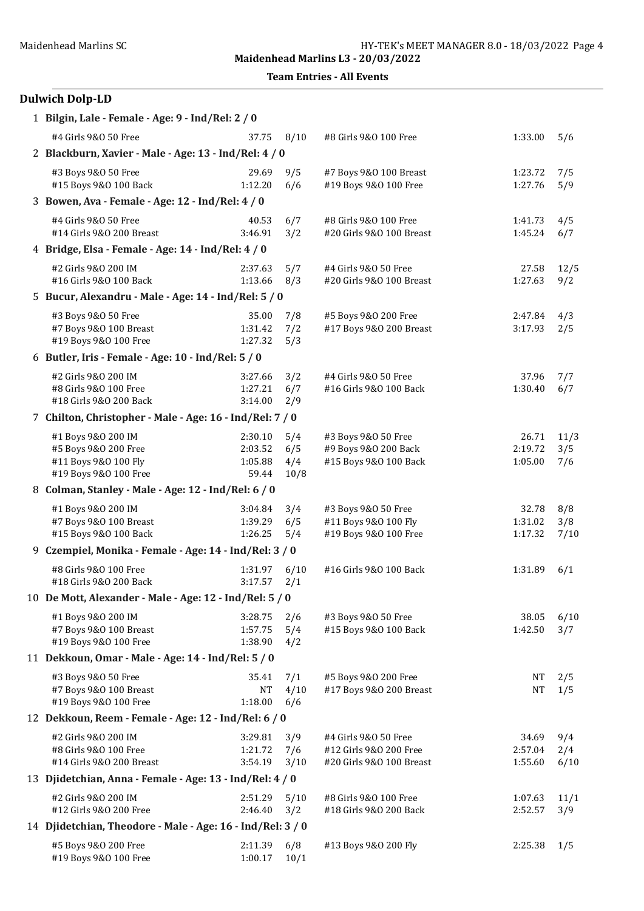Team Entries - All Events

# Dulwich Dolp-LD

| 1 Bilgin, Lale - Female - Age: 9 - Ind/Rel: 2 / 0          |                    |             |                                                |                  |             |  |  |  |  |
|------------------------------------------------------------|--------------------|-------------|------------------------------------------------|------------------|-------------|--|--|--|--|
| #4 Girls 9&0 50 Free                                       | 37.75              | 8/10        | #8 Girls 9&0 100 Free                          | 1:33.00          | 5/6         |  |  |  |  |
| 2 Blackburn, Xavier - Male - Age: 13 - Ind/Rel: 4 / 0      |                    |             |                                                |                  |             |  |  |  |  |
| #3 Boys 9&0 50 Free                                        | 29.69              | 9/5         | #7 Boys 9&0 100 Breast                         | 1:23.72          | 7/5         |  |  |  |  |
| #15 Boys 9&0 100 Back                                      | 1:12.20            | 6/6         | #19 Boys 9&0 100 Free                          | 1:27.76          | 5/9         |  |  |  |  |
| 3 Bowen, Ava - Female - Age: 12 - Ind/Rel: 4 / 0           |                    |             |                                                |                  |             |  |  |  |  |
| #4 Girls 9&0 50 Free                                       | 40.53              | 6/7         | #8 Girls 9&0 100 Free                          | 1:41.73          | 4/5         |  |  |  |  |
| #14 Girls 9&0 200 Breast                                   | 3:46.91            | 3/2         | #20 Girls 9&0 100 Breast                       | 1:45.24          | 6/7         |  |  |  |  |
| 4 Bridge, Elsa - Female - Age: 14 - Ind/Rel: 4 / 0         |                    |             |                                                |                  |             |  |  |  |  |
| #2 Girls 9&0 200 IM                                        | 2:37.63            | 5/7         | #4 Girls 9&0 50 Free                           | 27.58            | 12/5        |  |  |  |  |
| #16 Girls 9&0 100 Back                                     | 1:13.66            | 8/3         | #20 Girls 9&0 100 Breast                       | 1:27.63          | 9/2         |  |  |  |  |
| 5 Bucur, Alexandru - Male - Age: 14 - Ind/Rel: 5 / 0       |                    |             |                                                |                  |             |  |  |  |  |
| #3 Boys 9&0 50 Free                                        | 35.00              | 7/8         | #5 Boys 9&0 200 Free                           | 2:47.84          | 4/3         |  |  |  |  |
| #7 Boys 9&0 100 Breast<br>#19 Boys 9&0 100 Free            | 1:31.42<br>1:27.32 | 7/2<br>5/3  | #17 Boys 9&0 200 Breast                        | 3:17.93          | 2/5         |  |  |  |  |
| 6 Butler, Iris - Female - Age: 10 - Ind/Rel: 5 / 0         |                    |             |                                                |                  |             |  |  |  |  |
|                                                            |                    |             |                                                |                  |             |  |  |  |  |
| #2 Girls 9&0 200 IM<br>#8 Girls 9&0 100 Free               | 3:27.66<br>1:27.21 | 3/2<br>6/7  | #4 Girls 9&0 50 Free<br>#16 Girls 9&0 100 Back | 37.96<br>1:30.40 | 7/7<br>6/7  |  |  |  |  |
| #18 Girls 9&0 200 Back                                     | 3:14.00            | 2/9         |                                                |                  |             |  |  |  |  |
| 7 Chilton, Christopher - Male - Age: 16 - Ind/Rel: 7 / 0   |                    |             |                                                |                  |             |  |  |  |  |
| #1 Boys 9&0 200 IM                                         | 2:30.10            | 5/4         | #3 Boys 9&0 50 Free                            | 26.71            | 11/3        |  |  |  |  |
| #5 Boys 9&0 200 Free                                       | 2:03.52            | 6/5         | #9 Boys 9&0 200 Back                           | 2:19.72          | 3/5         |  |  |  |  |
| #11 Boys 9&0 100 Fly                                       | 1:05.88            | 4/4         | #15 Boys 9&0 100 Back                          | 1:05.00          | 7/6         |  |  |  |  |
| #19 Boys 9&0 100 Free                                      | 59.44              | 10/8        |                                                |                  |             |  |  |  |  |
| 8 Colman, Stanley - Male - Age: 12 - Ind/Rel: 6 / 0        |                    |             |                                                |                  |             |  |  |  |  |
| #1 Boys 9&0 200 IM                                         | 3:04.84            | 3/4         | #3 Boys 9&0 50 Free                            | 32.78            | 8/8         |  |  |  |  |
| #7 Boys 9&0 100 Breast                                     | 1:39.29            | 6/5         | #11 Boys 9&0 100 Fly                           | 1:31.02          | 3/8         |  |  |  |  |
| #15 Boys 9&0 100 Back                                      | 1:26.25            | 5/4         | #19 Boys 9&0 100 Free                          | 1:17.32          | 7/10        |  |  |  |  |
| 9 Czempiel, Monika - Female - Age: 14 - Ind/Rel: 3 / 0     |                    |             |                                                |                  |             |  |  |  |  |
| #8 Girls 9&0 100 Free<br>#18 Girls 9&0 200 Back            | 1:31.97<br>3:17.57 | 6/10<br>2/1 | #16 Girls 9&0 100 Back                         | 1:31.89          | 6/1         |  |  |  |  |
| 10 De Mott, Alexander - Male - Age: 12 - Ind/Rel: 5 / 0    |                    |             |                                                |                  |             |  |  |  |  |
|                                                            |                    |             |                                                |                  |             |  |  |  |  |
| #1 Boys 9&0 200 IM<br>#7 Boys 9&0 100 Breast               | 3:28.75<br>1:57.75 | 2/6<br>5/4  | #3 Boys 9&0 50 Free<br>#15 Boys 9&0 100 Back   | 38.05<br>1:42.50 | 6/10<br>3/7 |  |  |  |  |
| #19 Boys 9&0 100 Free                                      | 1:38.90            | 4/2         |                                                |                  |             |  |  |  |  |
| 11 Dekkoun, Omar - Male - Age: 14 - Ind/Rel: 5 / 0         |                    |             |                                                |                  |             |  |  |  |  |
| #3 Boys 9&0 50 Free                                        | 35.41              | 7/1         | #5 Boys 9&0 200 Free                           | NT               | 2/5         |  |  |  |  |
| #7 Boys 9&0 100 Breast                                     | $\rm{NT}$          | 4/10        | #17 Boys 9&0 200 Breast                        | <b>NT</b>        | 1/5         |  |  |  |  |
| #19 Boys 9&0 100 Free                                      | 1:18.00            | 6/6         |                                                |                  |             |  |  |  |  |
| 12 Dekkoun, Reem - Female - Age: 12 - Ind/Rel: 6 / 0       |                    |             |                                                |                  |             |  |  |  |  |
| #2 Girls 9&0 200 IM                                        | 3:29.81            | 3/9         | #4 Girls 9&0 50 Free                           | 34.69            | 9/4         |  |  |  |  |
| #8 Girls 9&0 100 Free                                      | 1:21.72            | 7/6         | #12 Girls 9&0 200 Free                         | 2:57.04          | 2/4         |  |  |  |  |
| #14 Girls 9&0 200 Breast                                   | 3:54.19            | 3/10        | #20 Girls 9&0 100 Breast                       | 1:55.60          | 6/10        |  |  |  |  |
| 13 Djidetchian, Anna - Female - Age: 13 - Ind/Rel: 4 / 0   |                    |             |                                                |                  |             |  |  |  |  |
| #2 Girls 9&0 200 IM                                        | 2:51.29            | 5/10        | #8 Girls 9&0 100 Free                          | 1:07.63          | 11/1        |  |  |  |  |
| #12 Girls 9&0 200 Free                                     | 2:46.40            | 3/2         | #18 Girls 9&0 200 Back                         | 2:52.57          | 3/9         |  |  |  |  |
| 14 Djidetchian, Theodore - Male - Age: 16 - Ind/Rel: 3 / 0 |                    |             |                                                |                  |             |  |  |  |  |
| #5 Boys 9&0 200 Free                                       | 2:11.39            | 6/8         | #13 Boys 9&0 200 Fly                           | 2:25.38          | 1/5         |  |  |  |  |
| #19 Boys 9&0 100 Free                                      | 1:00.17            | 10/1        |                                                |                  |             |  |  |  |  |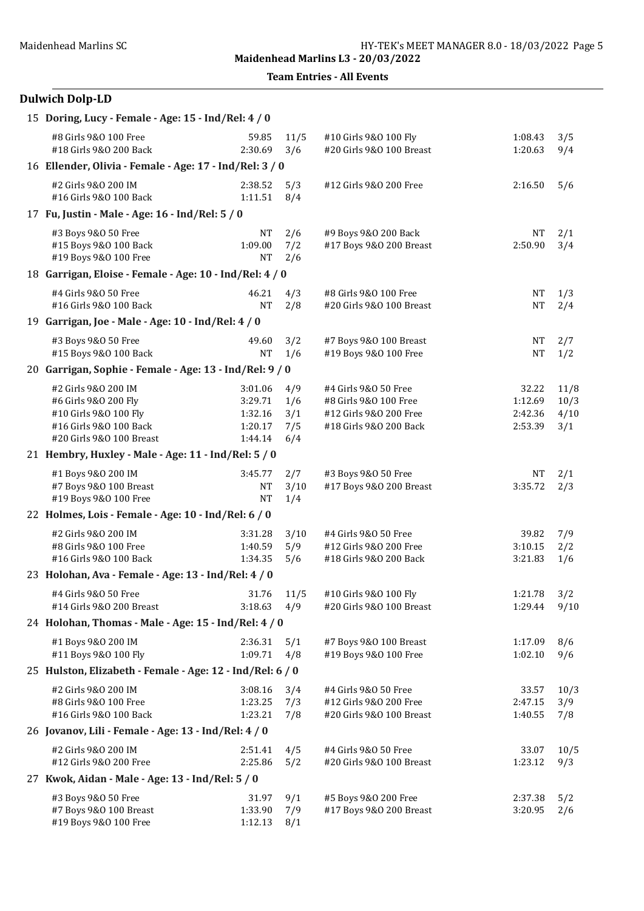Team Entries - All Events

## Dulwich Dolp-LD

| 15 Doring, Lucy - Female - Age: 15 - Ind/Rel: 4 / 0                                                                        |                                                     |                                 |                                                                                                   |                                        |                             |
|----------------------------------------------------------------------------------------------------------------------------|-----------------------------------------------------|---------------------------------|---------------------------------------------------------------------------------------------------|----------------------------------------|-----------------------------|
| #8 Girls 9&0 100 Free<br>#18 Girls 9&0 200 Back                                                                            | 59.85<br>2:30.69                                    | 11/5<br>3/6                     | #10 Girls 9&0 100 Fly<br>#20 Girls 9&0 100 Breast                                                 | 1:08.43<br>1:20.63                     | 3/5<br>9/4                  |
| 16 Ellender, Olivia - Female - Age: 17 - Ind/Rel: 3 / 0                                                                    |                                                     |                                 |                                                                                                   |                                        |                             |
| #2 Girls 9&0 200 IM<br>#16 Girls 9&0 100 Back                                                                              | 2:38.52<br>1:11.51                                  | 5/3<br>8/4                      | #12 Girls 9&0 200 Free                                                                            | 2:16.50                                | 5/6                         |
| 17 Fu, Justin - Male - Age: 16 - Ind/Rel: 5 / 0                                                                            |                                                     |                                 |                                                                                                   |                                        |                             |
| #3 Boys 9&0 50 Free<br>#15 Boys 9&0 100 Back<br>#19 Boys 9&0 100 Free                                                      | NΤ<br>1:09.00<br>NT                                 | 2/6<br>7/2<br>2/6               | #9 Boys 9&0 200 Back<br>#17 Boys 9&0 200 Breast                                                   | NT<br>2:50.90                          | 2/1<br>3/4                  |
| 18 Garrigan, Eloise - Female - Age: 10 - Ind/Rel: 4 / 0                                                                    |                                                     |                                 |                                                                                                   |                                        |                             |
| #4 Girls 9&0 50 Free<br>#16 Girls 9&0 100 Back                                                                             | 46.21<br><b>NT</b>                                  | 4/3<br>2/8                      | #8 Girls 9&0 100 Free<br>#20 Girls 9&0 100 Breast                                                 | <b>NT</b><br><b>NT</b>                 | 1/3<br>2/4                  |
| 19 Garrigan, Joe - Male - Age: 10 - Ind/Rel: 4 / 0                                                                         |                                                     |                                 |                                                                                                   |                                        |                             |
| #3 Boys 9&0 50 Free<br>#15 Boys 9&0 100 Back                                                                               | 49.60<br><b>NT</b>                                  | 3/2<br>1/6                      | #7 Boys 9&0 100 Breast<br>#19 Boys 9&0 100 Free                                                   | <b>NT</b><br><b>NT</b>                 | 2/7<br>1/2                  |
| 20 Garrigan, Sophie - Female - Age: 13 - Ind/Rel: 9 / 0                                                                    |                                                     |                                 |                                                                                                   |                                        |                             |
| #2 Girls 9&0 200 IM<br>#6 Girls 9&0 200 Fly<br>#10 Girls 9&0 100 Fly<br>#16 Girls 9&0 100 Back<br>#20 Girls 9&0 100 Breast | 3:01.06<br>3:29.71<br>1:32.16<br>1:20.17<br>1:44.14 | 4/9<br>1/6<br>3/1<br>7/5<br>6/4 | #4 Girls 9&0 50 Free<br>#8 Girls 9&0 100 Free<br>#12 Girls 9&0 200 Free<br>#18 Girls 9&0 200 Back | 32.22<br>1:12.69<br>2:42.36<br>2:53.39 | 11/8<br>10/3<br>4/10<br>3/1 |
| 21 Hembry, Huxley - Male - Age: 11 - Ind/Rel: 5 / 0                                                                        |                                                     |                                 |                                                                                                   |                                        |                             |
| #1 Boys 9&0 200 IM<br>#7 Boys 9&0 100 Breast<br>#19 Boys 9&0 100 Free                                                      | 3:45.77<br><b>NT</b><br><b>NT</b>                   | 2/7<br>3/10<br>1/4              | #3 Boys 9&0 50 Free<br>#17 Boys 9&0 200 Breast                                                    | NT<br>3:35.72                          | 2/1<br>2/3                  |
| 22 Holmes, Lois - Female - Age: 10 - Ind/Rel: 6 / 0                                                                        |                                                     |                                 |                                                                                                   |                                        |                             |
| #2 Girls 9&0 200 IM<br>#8 Girls 9&0 100 Free<br>#16 Girls 9&0 100 Back                                                     | 3:31.28<br>1:40.59<br>1:34.35                       | 3/10<br>5/9<br>5/6              | #4 Girls 9&0 50 Free<br>#12 Girls 9&0 200 Free<br>#18 Girls 9&0 200 Back                          | 39.82<br>3:10.15<br>3:21.83            | 7/9<br>2/2<br>1/6           |
| 23 Holohan, Ava - Female - Age: 13 - Ind/Rel: 4 / 0                                                                        |                                                     |                                 |                                                                                                   |                                        |                             |
| #4 Girls 9&0 50 Free<br>#14 Girls 9&0 200 Breast                                                                           | 31.76 11/5<br>3:18.63                               | 4/9                             | #10 Girls 9&0 100 Fly<br>#20 Girls 9&0 100 Breast                                                 | 1:21.78<br>1:29.44                     | 3/2<br>9/10                 |
| 24 Holohan, Thomas - Male - Age: 15 - Ind/Rel: 4 / 0                                                                       |                                                     |                                 |                                                                                                   |                                        |                             |
| #1 Boys 9&0 200 IM<br>#11 Boys 9&0 100 Fly                                                                                 | 2:36.31<br>1:09.71                                  | 5/1<br>4/8                      | #7 Boys 9&0 100 Breast<br>#19 Boys 9&0 100 Free                                                   | 1:17.09<br>1:02.10                     | 8/6<br>9/6                  |
| 25 Hulston, Elizabeth - Female - Age: 12 - Ind/Rel: 6 / 0                                                                  |                                                     |                                 |                                                                                                   |                                        |                             |
| #2 Girls 9&0 200 IM<br>#8 Girls 9&0 100 Free<br>#16 Girls 9&0 100 Back                                                     | 3:08.16<br>1:23.25<br>1:23.21                       | 3/4<br>7/3<br>7/8               | #4 Girls 9&0 50 Free<br>#12 Girls 9&0 200 Free<br>#20 Girls 9&0 100 Breast                        | 33.57<br>2:47.15<br>1:40.55            | 10/3<br>3/9<br>7/8          |
| 26 Jovanov, Lili - Female - Age: 13 - Ind/Rel: 4 / 0                                                                       |                                                     |                                 |                                                                                                   |                                        |                             |
| #2 Girls 9&0 200 IM<br>#12 Girls 9&0 200 Free                                                                              | 2:51.41<br>2:25.86                                  | 4/5<br>5/2                      | #4 Girls 9&0 50 Free<br>#20 Girls 9&0 100 Breast                                                  | 33.07<br>1:23.12                       | 10/5<br>9/3                 |
| 27 Kwok, Aidan - Male - Age: 13 - Ind/Rel: 5 / 0                                                                           |                                                     |                                 |                                                                                                   |                                        |                             |
| #3 Boys 9&0 50 Free<br>#7 Boys 9&0 100 Breast<br>#19 Boys 9&0 100 Free                                                     | 31.97<br>1:33.90<br>1:12.13                         | 9/1<br>7/9<br>8/1               | #5 Boys 9&0 200 Free<br>#17 Boys 9&0 200 Breast                                                   | 2:37.38<br>3:20.95                     | 5/2<br>2/6                  |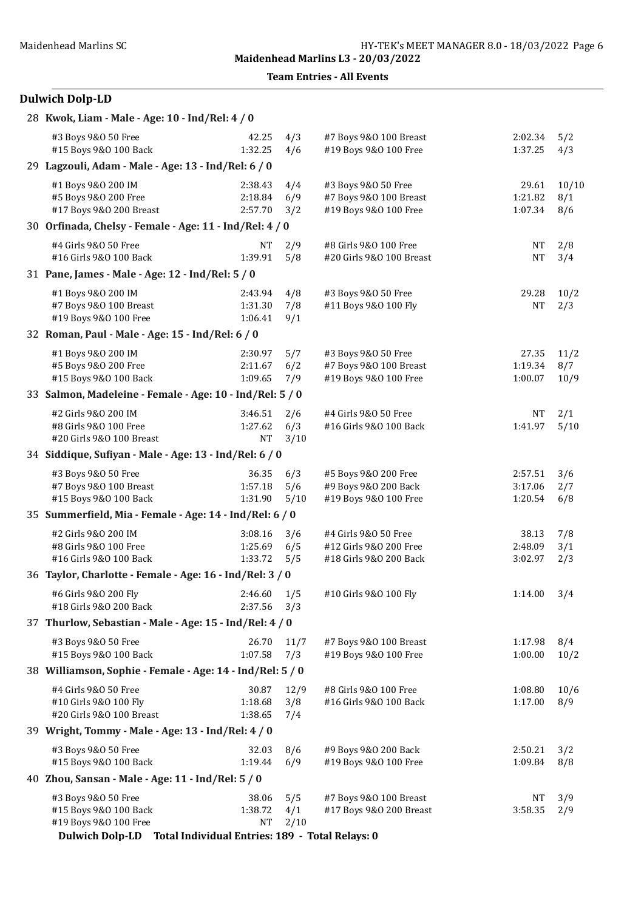Team Entries - All Events

## Dulwich Dolp-LD

| 28 Kwok, Liam - Male - Age: 10 - Ind/Rel: 4 / 0                                                                                                    |                                 |                    |                                                                          |                               |                     |
|----------------------------------------------------------------------------------------------------------------------------------------------------|---------------------------------|--------------------|--------------------------------------------------------------------------|-------------------------------|---------------------|
| #3 Boys 9&0 50 Free<br>#15 Boys 9&0 100 Back                                                                                                       | 42.25<br>1:32.25                | 4/3<br>4/6         | #7 Boys 9&0 100 Breast<br>#19 Boys 9&0 100 Free                          | 2:02.34<br>1:37.25            | 5/2<br>4/3          |
| 29 Lagzouli, Adam - Male - Age: 13 - Ind/Rel: 6 / 0                                                                                                |                                 |                    |                                                                          |                               |                     |
| #1 Boys 9&0 200 IM<br>#5 Boys 9&0 200 Free<br>#17 Boys 9&0 200 Breast                                                                              | 2:38.43<br>2:18.84<br>2:57.70   | 4/4<br>6/9<br>3/2  | #3 Boys 9&0 50 Free<br>#7 Boys 9&0 100 Breast<br>#19 Boys 9&0 100 Free   | 29.61<br>1:21.82<br>1:07.34   | 10/10<br>8/1<br>8/6 |
| 30 Orfinada, Chelsy - Female - Age: 11 - Ind/Rel: 4 / 0                                                                                            |                                 |                    |                                                                          |                               |                     |
| #4 Girls 9&0 50 Free<br>#16 Girls 9&0 100 Back                                                                                                     | NT<br>1:39.91                   | 2/9<br>5/8         | #8 Girls 9&0 100 Free<br>#20 Girls 9&0 100 Breast                        | <b>NT</b><br><b>NT</b>        | 2/8<br>3/4          |
| 31 Pane, James - Male - Age: 12 - Ind/Rel: 5 / 0                                                                                                   |                                 |                    |                                                                          |                               |                     |
| #1 Boys 9&0 200 IM<br>#7 Boys 9&0 100 Breast<br>#19 Boys 9&0 100 Free                                                                              | 2:43.94<br>1:31.30<br>1:06.41   | 4/8<br>7/8<br>9/1  | #3 Boys 9&0 50 Free<br>#11 Boys 9&0 100 Fly                              | 29.28<br><b>NT</b>            | 10/2<br>2/3         |
| 32 Roman, Paul - Male - Age: 15 - Ind/Rel: 6 / 0                                                                                                   |                                 |                    |                                                                          |                               |                     |
| #1 Boys 9&0 200 IM<br>#5 Boys 9&0 200 Free<br>#15 Boys 9&0 100 Back                                                                                | 2:30.97<br>2:11.67<br>1:09.65   | 5/7<br>6/2<br>7/9  | #3 Boys 9&0 50 Free<br>#7 Boys 9&0 100 Breast<br>#19 Boys 9&0 100 Free   | 27.35<br>1:19.34<br>1:00.07   | 11/2<br>8/7<br>10/9 |
| 33 Salmon, Madeleine - Female - Age: 10 - Ind/Rel: 5 / 0                                                                                           |                                 |                    |                                                                          |                               |                     |
| #2 Girls 9&0 200 IM<br>#8 Girls 9&0 100 Free<br>#20 Girls 9&0 100 Breast                                                                           | 3:46.51<br>1:27.62<br><b>NT</b> | 2/6<br>6/3<br>3/10 | #4 Girls 9&0 50 Free<br>#16 Girls 9&0 100 Back                           | <b>NT</b><br>1:41.97          | 2/1<br>5/10         |
| 34 Siddique, Sufiyan - Male - Age: 13 - Ind/Rel: 6 / 0                                                                                             |                                 |                    |                                                                          |                               |                     |
| #3 Boys 9&0 50 Free<br>#7 Boys 9&0 100 Breast<br>#15 Boys 9&0 100 Back                                                                             | 36.35<br>1:57.18<br>1:31.90     | 6/3<br>5/6<br>5/10 | #5 Boys 9&0 200 Free<br>#9 Boys 9&0 200 Back<br>#19 Boys 9&0 100 Free    | 2:57.51<br>3:17.06<br>1:20.54 | 3/6<br>2/7<br>6/8   |
| 35 Summerfield, Mia - Female - Age: 14 - Ind/Rel: 6 / 0                                                                                            |                                 |                    |                                                                          |                               |                     |
| #2 Girls 9&0 200 IM<br>#8 Girls 9&0 100 Free<br>#16 Girls 9&0 100 Back                                                                             | 3:08.16<br>1:25.69<br>1:33.72   | 3/6<br>6/5<br>5/5  | #4 Girls 9&0 50 Free<br>#12 Girls 9&0 200 Free<br>#18 Girls 9&0 200 Back | 38.13<br>2:48.09<br>3:02.97   | 7/8<br>3/1<br>2/3   |
| 36 Taylor, Charlotte - Female - Age: 16 - Ind/Rel: 3 / 0                                                                                           |                                 |                    |                                                                          |                               |                     |
| #6 Girls 9&0 200 Fly<br>#18 Girls 9&0 200 Back                                                                                                     | $2:46.60$ 1/5<br>2:37.56        | 3/3                | #10 Girls 9&0 100 Fly                                                    | 1:14.00                       | 3/4                 |
| 37 Thurlow, Sebastian - Male - Age: 15 - Ind/Rel: 4 / 0                                                                                            |                                 |                    |                                                                          |                               |                     |
| #3 Boys 9&0 50 Free<br>#15 Boys 9&0 100 Back                                                                                                       | 26.70<br>1:07.58                | 11/7<br>7/3        | #7 Boys 9&0 100 Breast<br>#19 Boys 9&0 100 Free                          | 1:17.98<br>1:00.00            | 8/4<br>10/2         |
| 38 Williamson, Sophie - Female - Age: 14 - Ind/Rel: 5 / 0                                                                                          |                                 |                    |                                                                          |                               |                     |
| #4 Girls 9&0 50 Free<br>#10 Girls 9&0 100 Fly<br>#20 Girls 9&0 100 Breast                                                                          | 30.87<br>1:18.68<br>1:38.65     | 12/9<br>3/8<br>7/4 | #8 Girls 9&0 100 Free<br>#16 Girls 9&0 100 Back                          | 1:08.80<br>1:17.00            | 10/6<br>8/9         |
| 39 Wright, Tommy - Male - Age: 13 - Ind/Rel: 4 / 0                                                                                                 |                                 |                    |                                                                          |                               |                     |
| #3 Boys 9&0 50 Free<br>#15 Boys 9&0 100 Back                                                                                                       | 32.03<br>1:19.44                | 8/6<br>6/9         | #9 Boys 9&0 200 Back<br>#19 Boys 9&0 100 Free                            | 2:50.21<br>1:09.84            | 3/2<br>8/8          |
| 40 Zhou, Sansan - Male - Age: 11 - Ind/Rel: 5 / 0                                                                                                  |                                 |                    |                                                                          |                               |                     |
| #3 Boys 9&0 50 Free<br>#15 Boys 9&0 100 Back<br>#19 Boys 9&0 100 Free<br><b>Dulwich Dolp-LD</b><br>Total Individual Entries: 189 - Total Relays: 0 | 38.06<br>1:38.72<br>NT          | 5/5<br>4/1<br>2/10 | #7 Boys 9&0 100 Breast<br>#17 Boys 9&0 200 Breast                        | NT<br>3:58.35                 | 3/9<br>2/9          |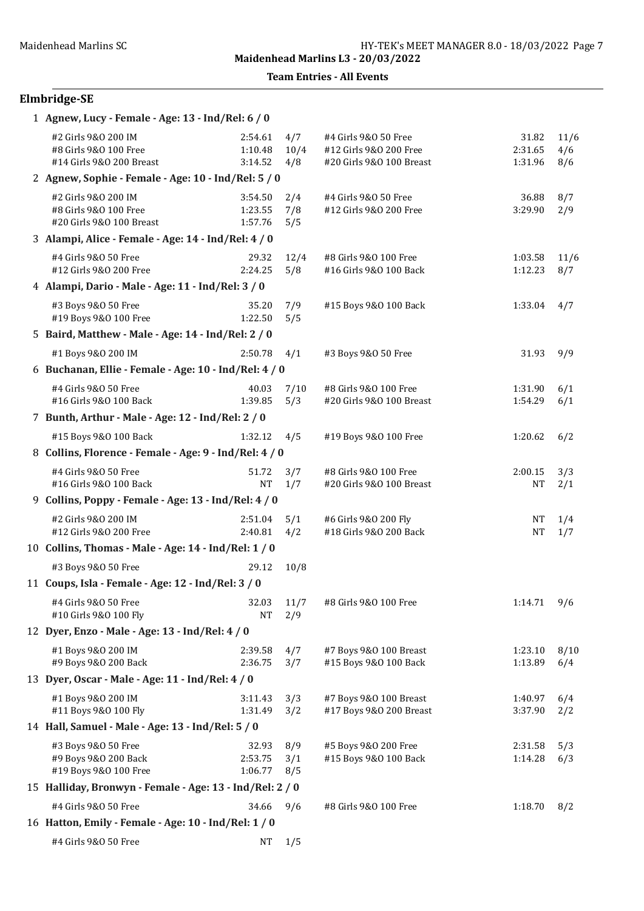Team Entries - All Events

# Elmbridge-SE

| 1 Agnew, Lucy - Female - Age: 13 - Ind/Rel: 6 / 0                        |                               |                    |                                                                            |                             |                    |  |  |  |
|--------------------------------------------------------------------------|-------------------------------|--------------------|----------------------------------------------------------------------------|-----------------------------|--------------------|--|--|--|
| #2 Girls 9&0 200 IM<br>#8 Girls 9&0 100 Free<br>#14 Girls 9&0 200 Breast | 2:54.61<br>1:10.48<br>3:14.52 | 4/7<br>10/4<br>4/8 | #4 Girls 9&0 50 Free<br>#12 Girls 9&0 200 Free<br>#20 Girls 9&0 100 Breast | 31.82<br>2:31.65<br>1:31.96 | 11/6<br>4/6<br>8/6 |  |  |  |
| 2 Agnew, Sophie - Female - Age: 10 - Ind/Rel: 5 / 0                      |                               |                    |                                                                            |                             |                    |  |  |  |
| #2 Girls 9&0 200 IM<br>#8 Girls 9&0 100 Free<br>#20 Girls 9&0 100 Breast | 3:54.50<br>1:23.55<br>1:57.76 | 2/4<br>7/8<br>5/5  | #4 Girls 9&0 50 Free<br>#12 Girls 9&0 200 Free                             | 36.88<br>3:29.90            | 8/7<br>2/9         |  |  |  |
| 3 Alampi, Alice - Female - Age: 14 - Ind/Rel: 4 / 0                      |                               |                    |                                                                            |                             |                    |  |  |  |
| #4 Girls 9&0 50 Free<br>#12 Girls 9&0 200 Free                           | 29.32<br>2:24.25              | 12/4<br>5/8        | #8 Girls 9&0 100 Free<br>#16 Girls 9&0 100 Back                            | 1:03.58<br>1:12.23          | 11/6<br>8/7        |  |  |  |
| 4 Alampi, Dario - Male - Age: 11 - Ind/Rel: 3 / 0                        |                               |                    |                                                                            |                             |                    |  |  |  |
| #3 Boys 9&0 50 Free<br>#19 Boys 9&0 100 Free                             | 35.20<br>1:22.50              | 7/9<br>5/5         | #15 Boys 9&0 100 Back                                                      | 1:33.04                     | 4/7                |  |  |  |
| 5 Baird, Matthew - Male - Age: 14 - Ind/Rel: 2 / 0                       |                               |                    |                                                                            |                             |                    |  |  |  |
| #1 Boys 9&0 200 IM                                                       | 2:50.78                       | 4/1                | #3 Boys 9&0 50 Free                                                        | 31.93                       | 9/9                |  |  |  |
| 6 Buchanan, Ellie - Female - Age: 10 - Ind/Rel: 4 / 0                    |                               |                    |                                                                            |                             |                    |  |  |  |
| #4 Girls 9&0 50 Free<br>#16 Girls 9&0 100 Back                           | 40.03<br>1:39.85              | 7/10<br>5/3        | #8 Girls 9&0 100 Free<br>#20 Girls 9&0 100 Breast                          | 1:31.90<br>1:54.29          | 6/1<br>6/1         |  |  |  |
| 7 Bunth, Arthur - Male - Age: 12 - Ind/Rel: 2 / 0                        |                               |                    |                                                                            |                             |                    |  |  |  |
| #15 Boys 9&0 100 Back                                                    | 1:32.12                       | 4/5                | #19 Boys 9&0 100 Free                                                      | 1:20.62                     | 6/2                |  |  |  |
| 8 Collins, Florence - Female - Age: 9 - Ind/Rel: 4 / 0                   |                               |                    |                                                                            |                             |                    |  |  |  |
| #4 Girls 9&0 50 Free<br>#16 Girls 9&0 100 Back                           | 51.72<br><b>NT</b>            | 3/7<br>1/7         | #8 Girls 9&0 100 Free<br>#20 Girls 9&0 100 Breast                          | 2:00.15<br>NΤ               | 3/3<br>2/1         |  |  |  |
| 9 Collins, Poppy - Female - Age: 13 - Ind/Rel: 4 / 0                     |                               |                    |                                                                            |                             |                    |  |  |  |
| #2 Girls 9&0 200 IM<br>#12 Girls 9&0 200 Free                            | 2:51.04<br>2:40.81            | 5/1<br>4/2         | #6 Girls 9&0 200 Fly<br>#18 Girls 9&0 200 Back                             | NΤ<br><b>NT</b>             | 1/4<br>1/7         |  |  |  |
| 10 Collins, Thomas - Male - Age: 14 - Ind/Rel: 1 / 0                     |                               |                    |                                                                            |                             |                    |  |  |  |
| #3 Boys 9&0 50 Free                                                      | 29.12                         | 10/8               |                                                                            |                             |                    |  |  |  |
| 11 Coups, Isla - Female - Age: 12 - Ind/Rel: 3 / 0                       |                               |                    |                                                                            |                             |                    |  |  |  |
| #4 Girls 9&0 50 Free<br>#10 Girls 9&0 100 Fly                            | 32.03<br><b>NT</b>            | 11/7<br>2/9        | #8 Girls 9&0 100 Free                                                      | 1:14.71                     | 9/6                |  |  |  |
| 12 Dyer, Enzo - Male - Age: 13 - Ind/Rel: 4 / 0                          |                               |                    |                                                                            |                             |                    |  |  |  |
| #1 Boys 9&0 200 IM<br>#9 Boys 9&0 200 Back                               | 2:39.58<br>2:36.75            | 4/7<br>3/7         | #7 Boys 9&0 100 Breast<br>#15 Boys 9&0 100 Back                            | 1:23.10<br>1:13.89          | 8/10<br>6/4        |  |  |  |
| 13 Dyer, Oscar - Male - Age: 11 - Ind/Rel: 4 / 0                         |                               |                    |                                                                            |                             |                    |  |  |  |
| #1 Boys 9&0 200 IM<br>#11 Boys 9&0 100 Fly                               | 3:11.43<br>1:31.49            | 3/3<br>3/2         | #7 Boys 9&0 100 Breast<br>#17 Boys 9&0 200 Breast                          | 1:40.97<br>3:37.90          | 6/4<br>2/2         |  |  |  |
| 14 Hall, Samuel - Male - Age: 13 - Ind/Rel: 5 / 0                        |                               |                    |                                                                            |                             |                    |  |  |  |
| #3 Boys 9&0 50 Free<br>#9 Boys 9&0 200 Back<br>#19 Boys 9&0 100 Free     | 32.93<br>2:53.75<br>1:06.77   | 8/9<br>3/1<br>8/5  | #5 Boys 9&0 200 Free<br>#15 Boys 9&0 100 Back                              | 2:31.58<br>1:14.28          | 5/3<br>6/3         |  |  |  |
| 15 Halliday, Bronwyn - Female - Age: 13 - Ind/Rel: 2 / 0                 |                               |                    |                                                                            |                             |                    |  |  |  |
| #4 Girls 9&0 50 Free                                                     | 34.66                         | 9/6                | #8 Girls 9&0 100 Free                                                      | 1:18.70                     | 8/2                |  |  |  |
| 16 Hatton, Emily - Female - Age: 10 - Ind/Rel: 1 / 0                     |                               |                    |                                                                            |                             |                    |  |  |  |
| #4 Girls 9&0 50 Free                                                     | <b>NT</b>                     | 1/5                |                                                                            |                             |                    |  |  |  |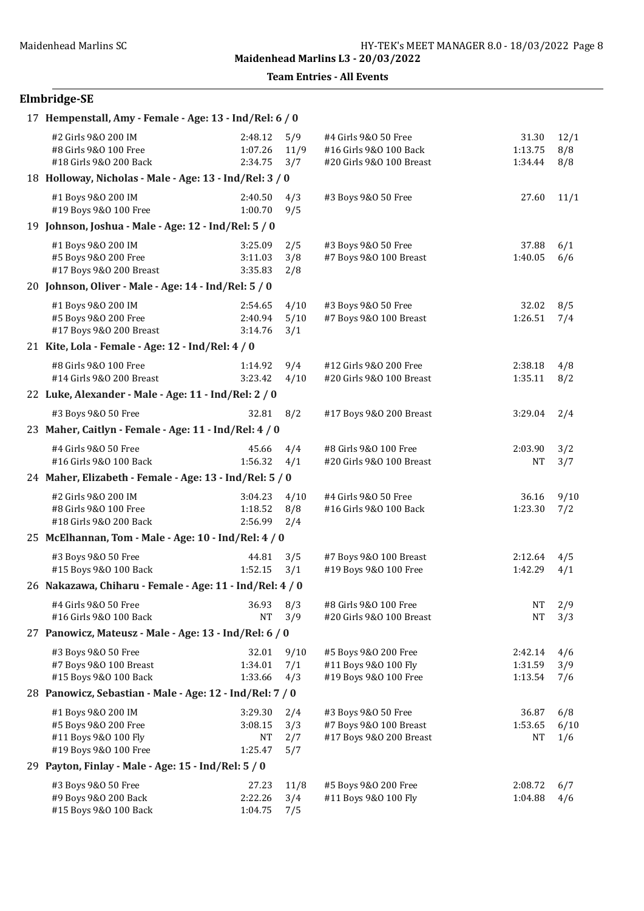## Elmbridge-SE

| 17 Hempenstall, Amy - Female - Age: 13 - Ind/Rel: 6 / 0                                     |                                            |                          |                                                                            |                               |                    |  |  |  |
|---------------------------------------------------------------------------------------------|--------------------------------------------|--------------------------|----------------------------------------------------------------------------|-------------------------------|--------------------|--|--|--|
| #2 Girls 9&0 200 IM<br>#8 Girls 9&0 100 Free<br>#18 Girls 9&0 200 Back                      | 2:48.12<br>1:07.26<br>2:34.75              | 5/9<br>11/9<br>3/7       | #4 Girls 9&0 50 Free<br>#16 Girls 9&0 100 Back<br>#20 Girls 9&0 100 Breast | 31.30<br>1:13.75<br>1:34.44   | 12/1<br>8/8<br>8/8 |  |  |  |
| 18 Holloway, Nicholas - Male - Age: 13 - Ind/Rel: 3 / 0                                     |                                            |                          |                                                                            |                               |                    |  |  |  |
| #1 Boys 9&0 200 IM<br>#19 Boys 9&0 100 Free                                                 | 2:40.50<br>1:00.70                         | 4/3<br>9/5               | #3 Boys 9&0 50 Free                                                        | 27.60                         | 11/1               |  |  |  |
| 19 Johnson, Joshua - Male - Age: 12 - Ind/Rel: 5 / 0                                        |                                            |                          |                                                                            |                               |                    |  |  |  |
| #1 Boys 9&0 200 IM<br>#5 Boys 9&0 200 Free<br>#17 Boys 9&0 200 Breast                       | 3:25.09<br>3:11.03<br>3:35.83              | 2/5<br>3/8<br>2/8        | #3 Boys 9&0 50 Free<br>#7 Boys 9&0 100 Breast                              | 37.88<br>1:40.05              | 6/1<br>6/6         |  |  |  |
| 20 Johnson, Oliver - Male - Age: 14 - Ind/Rel: 5 / 0                                        |                                            |                          |                                                                            |                               |                    |  |  |  |
| #1 Boys 9&0 200 IM<br>#5 Boys 9&0 200 Free<br>#17 Boys 9&0 200 Breast                       | 2:54.65<br>2:40.94<br>3:14.76              | 4/10<br>5/10<br>3/1      | #3 Boys 9&0 50 Free<br>#7 Boys 9&0 100 Breast                              | 32.02<br>1:26.51              | 8/5<br>7/4         |  |  |  |
| 21 Kite, Lola - Female - Age: 12 - Ind/Rel: 4 / 0                                           |                                            |                          |                                                                            |                               |                    |  |  |  |
| #8 Girls 9&0 100 Free<br>#14 Girls 9&0 200 Breast                                           | 1:14.92<br>3:23.42                         | 9/4<br>4/10              | #12 Girls 9&0 200 Free<br>#20 Girls 9&0 100 Breast                         | 2:38.18<br>1:35.11            | 4/8<br>8/2         |  |  |  |
| 22 Luke, Alexander - Male - Age: 11 - Ind/Rel: 2 / 0                                        |                                            |                          |                                                                            |                               |                    |  |  |  |
| #3 Boys 9&0 50 Free                                                                         | 32.81                                      | 8/2                      | #17 Boys 9&0 200 Breast                                                    | 3:29.04                       | 2/4                |  |  |  |
| 23 Maher, Caitlyn - Female - Age: 11 - Ind/Rel: 4 / 0                                       |                                            |                          |                                                                            |                               |                    |  |  |  |
| #4 Girls 9&0 50 Free<br>#16 Girls 9&0 100 Back                                              | 45.66<br>1:56.32                           | 4/4<br>4/1               | #8 Girls 9&0 100 Free<br>#20 Girls 9&0 100 Breast                          | 2:03.90<br><b>NT</b>          | 3/2<br>3/7         |  |  |  |
| 24 Maher, Elizabeth - Female - Age: 13 - Ind/Rel: 5 / 0                                     |                                            |                          |                                                                            |                               |                    |  |  |  |
| #2 Girls 9&0 200 IM<br>#8 Girls 9&0 100 Free<br>#18 Girls 9&0 200 Back                      | 3:04.23<br>1:18.52<br>2:56.99              | 4/10<br>8/8<br>2/4       | #4 Girls 9&0 50 Free<br>#16 Girls 9&0 100 Back                             | 36.16<br>1:23.30              | 9/10<br>7/2        |  |  |  |
| 25 McElhannan, Tom - Male - Age: 10 - Ind/Rel: 4 / 0                                        |                                            |                          |                                                                            |                               |                    |  |  |  |
| #3 Boys 9&0 50 Free<br>#15 Boys 9&0 100 Back                                                | 44.81<br>1:52.15                           | 3/5<br>3/1               | #7 Boys 9&0 100 Breast<br>#19 Boys 9&0 100 Free                            | 2:12.64<br>1:42.29            | 4/5<br>4/1         |  |  |  |
| 26 Nakazawa, Chiharu - Female - Age: 11 - Ind/Rel: 4 / 0                                    |                                            |                          |                                                                            |                               |                    |  |  |  |
| #4 Girls 9&0 50 Free<br>#16 Girls 9&0 100 Back                                              | 36.93<br><b>NT</b>                         | 8/3<br>3/9               | #8 Girls 9&0 100 Free<br>#20 Girls 9&0 100 Breast                          | <b>NT</b><br><b>NT</b>        | 2/9<br>3/3         |  |  |  |
| 27 Panowicz, Mateusz - Male - Age: 13 - Ind/Rel: 6 / 0                                      |                                            |                          |                                                                            |                               |                    |  |  |  |
| #3 Boys 9&0 50 Free<br>#7 Boys 9&0 100 Breast<br>#15 Boys 9&0 100 Back                      | 32.01<br>1:34.01<br>1:33.66                | 9/10<br>7/1<br>4/3       | #5 Boys 9&0 200 Free<br>#11 Boys 9&0 100 Fly<br>#19 Boys 9&0 100 Free      | 2:42.14<br>1:31.59<br>1:13.54 | 4/6<br>3/9<br>7/6  |  |  |  |
| 28 Panowicz, Sebastian - Male - Age: 12 - Ind/Rel: 7 / 0                                    |                                            |                          |                                                                            |                               |                    |  |  |  |
| #1 Boys 9&0 200 IM<br>#5 Boys 9&0 200 Free<br>#11 Boys 9&0 100 Fly<br>#19 Boys 9&0 100 Free | 3:29.30<br>3:08.15<br><b>NT</b><br>1:25.47 | 2/4<br>3/3<br>2/7<br>5/7 | #3 Boys 9&0 50 Free<br>#7 Boys 9&0 100 Breast<br>#17 Boys 9&0 200 Breast   | 36.87<br>1:53.65<br>NΤ        | 6/8<br>6/10<br>1/6 |  |  |  |
| 29 Payton, Finlay - Male - Age: 15 - Ind/Rel: 5 / 0                                         |                                            |                          |                                                                            |                               |                    |  |  |  |
| #3 Boys 9&0 50 Free<br>#9 Boys 9&0 200 Back<br>#15 Boys 9&0 100 Back                        | 27.23<br>2:22.26<br>1:04.75                | 11/8<br>3/4<br>7/5       | #5 Boys 9&0 200 Free<br>#11 Boys 9&0 100 Fly                               | 2:08.72<br>1:04.88            | 6/7<br>4/6         |  |  |  |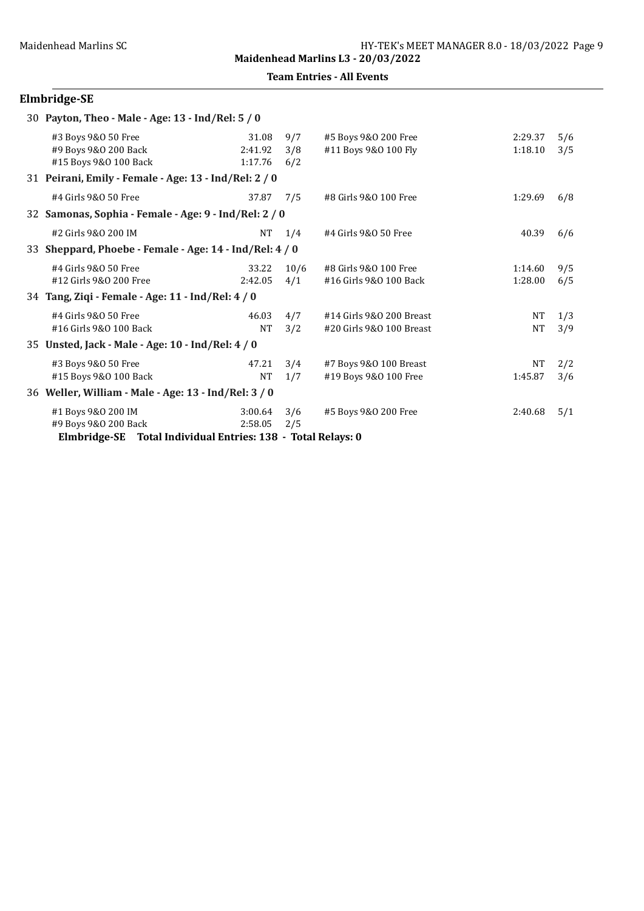Team Entries - All Events

# Elmbridge-SE

| 30 Payton, Theo - Male - Age: 13 - Ind/Rel: 5 / 0            |         |      |                          |           |     |  |  |  |  |
|--------------------------------------------------------------|---------|------|--------------------------|-----------|-----|--|--|--|--|
| #3 Boys 9&0 50 Free                                          | 31.08   | 9/7  | #5 Boys 9&0 200 Free     | 2:29.37   | 5/6 |  |  |  |  |
| #9 Boys 9&0 200 Back                                         | 2:41.92 | 3/8  | #11 Boys 9&0 100 Fly     | 1:18.10   | 3/5 |  |  |  |  |
| #15 Boys 9&0 100 Back                                        | 1:17.76 | 6/2  |                          |           |     |  |  |  |  |
| 31 Peirani, Emily - Female - Age: 13 - Ind/Rel: 2 / 0        |         |      |                          |           |     |  |  |  |  |
| #4 Girls 9&0 50 Free                                         | 37.87   | 7/5  | #8 Girls 9&0 100 Free    | 1:29.69   | 6/8 |  |  |  |  |
| 32 Samonas, Sophia - Female - Age: 9 - Ind/Rel: 2 / 0        |         |      |                          |           |     |  |  |  |  |
| #2 Girls 9&0 200 IM                                          | NT      | 1/4  | #4 Girls 9&0 50 Free     | 40.39     | 6/6 |  |  |  |  |
| 33 Sheppard, Phoebe - Female - Age: 14 - Ind/Rel: 4 / 0      |         |      |                          |           |     |  |  |  |  |
| #4 Girls 9&0 50 Free                                         | 33.22   | 10/6 | #8 Girls 9&0 100 Free    | 1:14.60   | 9/5 |  |  |  |  |
| #12 Girls 9&0 200 Free                                       | 2:42.05 | 4/1  | #16 Girls 9&0 100 Back   | 1:28.00   | 6/5 |  |  |  |  |
| 34 Tang, Ziqi - Female - Age: 11 - Ind/Rel: 4 / 0            |         |      |                          |           |     |  |  |  |  |
| #4 Girls 9&0 50 Free                                         | 46.03   | 4/7  | #14 Girls 9&0 200 Breast | NT        | 1/3 |  |  |  |  |
| #16 Girls 9&0 100 Back                                       | NT      | 3/2  | #20 Girls 9&0 100 Breast | <b>NT</b> | 3/9 |  |  |  |  |
| 35 Unsted, Jack - Male - Age: 10 - Ind/Rel: 4 / 0            |         |      |                          |           |     |  |  |  |  |
| #3 Boys 9&0 50 Free                                          | 47.21   | 3/4  | #7 Boys 9&0 100 Breast   | <b>NT</b> | 2/2 |  |  |  |  |
| #15 Boys 9&0 100 Back                                        | NT      | 1/7  | #19 Boys 9&0 100 Free    | 1:45.87   | 3/6 |  |  |  |  |
| 36 Weller, William - Male - Age: 13 - Ind/Rel: 3 / 0         |         |      |                          |           |     |  |  |  |  |
| #1 Boys 9&0 200 IM                                           | 3:00.64 | 3/6  | #5 Boys 9&0 200 Free     | 2:40.68   | 5/1 |  |  |  |  |
| #9 Boys 9&0 200 Back                                         | 2:58.05 | 2/5  |                          |           |     |  |  |  |  |
| Elmbridge-SE Total Individual Entries: 138 - Total Relays: 0 |         |      |                          |           |     |  |  |  |  |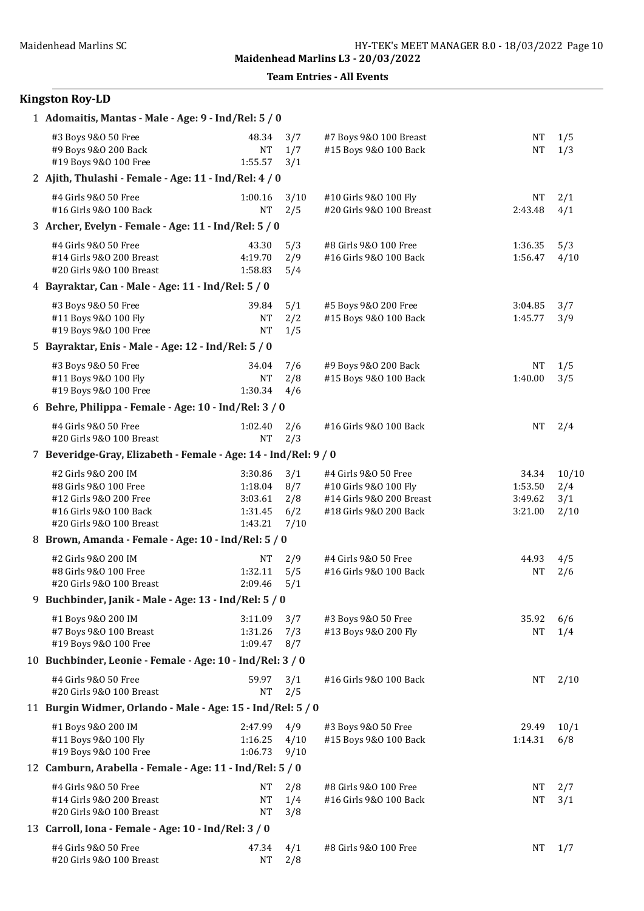Team Entries - All Events

| 1 Adomaitis, Mantas - Male - Age: 9 - Ind/Rel: 5 / 0                                                                         |                                                     |                                  |                                                                                                     |                                        |                             |  |  |  |  |
|------------------------------------------------------------------------------------------------------------------------------|-----------------------------------------------------|----------------------------------|-----------------------------------------------------------------------------------------------------|----------------------------------------|-----------------------------|--|--|--|--|
| #3 Boys 9&0 50 Free<br>#9 Boys 9&0 200 Back<br>#19 Boys 9&0 100 Free                                                         | 48.34<br><b>NT</b><br>1:55.57                       | 3/7<br>1/7<br>3/1                | #7 Boys 9&0 100 Breast<br>#15 Boys 9&0 100 Back                                                     | <b>NT</b><br><b>NT</b>                 | 1/5<br>1/3                  |  |  |  |  |
| 2 Ajith, Thulashi - Female - Age: 11 - Ind/Rel: 4 / 0                                                                        |                                                     |                                  |                                                                                                     |                                        |                             |  |  |  |  |
| #4 Girls 9&0 50 Free<br>#16 Girls 9&0 100 Back                                                                               | 1:00.16<br><b>NT</b>                                | 3/10<br>2/5                      | #10 Girls 9&0 100 Fly<br>#20 Girls 9&0 100 Breast                                                   | NT<br>2:43.48                          | 2/1<br>4/1                  |  |  |  |  |
| 3 Archer, Evelyn - Female - Age: 11 - Ind/Rel: 5 / 0                                                                         |                                                     |                                  |                                                                                                     |                                        |                             |  |  |  |  |
| #4 Girls 9&0 50 Free<br>#14 Girls 9&0 200 Breast<br>#20 Girls 9&0 100 Breast                                                 | 43.30<br>4:19.70<br>1:58.83                         | 5/3<br>2/9<br>5/4                | #8 Girls 9&0 100 Free<br>#16 Girls 9&0 100 Back                                                     | 1:36.35<br>1:56.47                     | 5/3<br>4/10                 |  |  |  |  |
| 4 Bayraktar, Can - Male - Age: 11 - Ind/Rel: 5 / 0                                                                           |                                                     |                                  |                                                                                                     |                                        |                             |  |  |  |  |
| #3 Boys 9&0 50 Free<br>#11 Boys 9&0 100 Fly<br>#19 Boys 9&0 100 Free                                                         | 39.84<br>NΤ<br><b>NT</b>                            | 5/1<br>2/2<br>1/5                | #5 Boys 9&0 200 Free<br>#15 Boys 9&0 100 Back                                                       | 3:04.85<br>1:45.77                     | 3/7<br>3/9                  |  |  |  |  |
| 5 Bayraktar, Enis - Male - Age: 12 - Ind/Rel: 5 / 0                                                                          |                                                     |                                  |                                                                                                     |                                        |                             |  |  |  |  |
| #3 Boys 9&0 50 Free<br>#11 Boys 9&0 100 Fly<br>#19 Boys 9&0 100 Free                                                         | 34.04<br>NT<br>1:30.34                              | 7/6<br>2/8<br>4/6                | #9 Boys 9&0 200 Back<br>#15 Boys 9&0 100 Back                                                       | <b>NT</b><br>1:40.00                   | 1/5<br>3/5                  |  |  |  |  |
| 6 Behre, Philippa - Female - Age: 10 - Ind/Rel: 3 / 0                                                                        |                                                     |                                  |                                                                                                     |                                        |                             |  |  |  |  |
| #4 Girls 9&0 50 Free<br>#20 Girls 9&0 100 Breast                                                                             | 1:02.40<br><b>NT</b>                                | 2/6<br>2/3                       | #16 Girls 9&0 100 Back                                                                              | <b>NT</b>                              | 2/4                         |  |  |  |  |
| 7 Beveridge-Gray, Elizabeth - Female - Age: 14 - Ind/Rel: 9 / 0                                                              |                                                     |                                  |                                                                                                     |                                        |                             |  |  |  |  |
| #2 Girls 9&0 200 IM<br>#8 Girls 9&0 100 Free<br>#12 Girls 9&0 200 Free<br>#16 Girls 9&0 100 Back<br>#20 Girls 9&0 100 Breast | 3:30.86<br>1:18.04<br>3:03.61<br>1:31.45<br>1:43.21 | 3/1<br>8/7<br>2/8<br>6/2<br>7/10 | #4 Girls 9&0 50 Free<br>#10 Girls 9&0 100 Fly<br>#14 Girls 9&0 200 Breast<br>#18 Girls 9&0 200 Back | 34.34<br>1:53.50<br>3:49.62<br>3:21.00 | 10/10<br>2/4<br>3/1<br>2/10 |  |  |  |  |
| 8 Brown, Amanda - Female - Age: 10 - Ind/Rel: 5 / 0                                                                          |                                                     |                                  |                                                                                                     |                                        |                             |  |  |  |  |
| #2 Girls 9&0 200 IM<br>#8 Girls 9&0 100 Free<br>#20 Girls 9&0 100 Breast                                                     | NT<br>1:32.11<br>2:09.46                            | 2/9<br>5/5<br>5/1                | #4 Girls 9&0 50 Free<br>#16 Girls 9&0 100 Back                                                      | 44.93<br><b>NT</b>                     | 4/5<br>2/6                  |  |  |  |  |
| 9 Buchbinder, Janik - Male - Age: 13 - Ind/Rel: 5 / 0                                                                        |                                                     |                                  |                                                                                                     |                                        |                             |  |  |  |  |
| #1 Boys 9&0 200 IM<br>#7 Boys 9&0 100 Breast<br>#19 Boys 9&0 100 Free                                                        | 3:11.09<br>1:31.26<br>1:09.47                       | 3/7<br>7/3<br>8/7                | #3 Boys 9&0 50 Free<br>#13 Boys 9&0 200 Fly                                                         | 35.92<br><b>NT</b>                     | 6/6<br>1/4                  |  |  |  |  |
| 10 Buchbinder, Leonie - Female - Age: 10 - Ind/Rel: 3 / 0                                                                    |                                                     |                                  |                                                                                                     |                                        |                             |  |  |  |  |
| #4 Girls 9&0 50 Free<br>#20 Girls 9&0 100 Breast                                                                             | 59.97<br><b>NT</b>                                  | 3/1<br>2/5                       | #16 Girls 9&0 100 Back                                                                              | NT                                     | 2/10                        |  |  |  |  |
| 11 Burgin Widmer, Orlando - Male - Age: 15 - Ind/Rel: 5 / 0                                                                  |                                                     |                                  |                                                                                                     |                                        |                             |  |  |  |  |
| #1 Boys 9&0 200 IM<br>#11 Boys 9&0 100 Fly<br>#19 Boys 9&0 100 Free                                                          | 2:47.99<br>1:16.25<br>1:06.73                       | 4/9<br>4/10<br>9/10              | #3 Boys 9&0 50 Free<br>#15 Boys 9&0 100 Back                                                        | 29.49<br>1:14.31                       | 10/1<br>6/8                 |  |  |  |  |
| 12 Camburn, Arabella - Female - Age: 11 - Ind/Rel: 5 / 0                                                                     |                                                     |                                  |                                                                                                     |                                        |                             |  |  |  |  |
| #4 Girls 9&0 50 Free<br>#14 Girls 9&0 200 Breast<br>#20 Girls 9&0 100 Breast                                                 | <b>NT</b><br><b>NT</b><br><b>NT</b>                 | 2/8<br>1/4<br>3/8                | #8 Girls 9&0 100 Free<br>#16 Girls 9&0 100 Back                                                     | <b>NT</b><br><b>NT</b>                 | 2/7<br>3/1                  |  |  |  |  |
| 13 Carroll, Iona - Female - Age: 10 - Ind/Rel: 3 / 0                                                                         |                                                     |                                  |                                                                                                     |                                        |                             |  |  |  |  |
| #4 Girls 9&0 50 Free<br>#20 Girls 9&0 100 Breast                                                                             | 47.34<br>NT                                         | 4/1<br>2/8                       | #8 Girls 9&0 100 Free                                                                               | NT                                     | 1/7                         |  |  |  |  |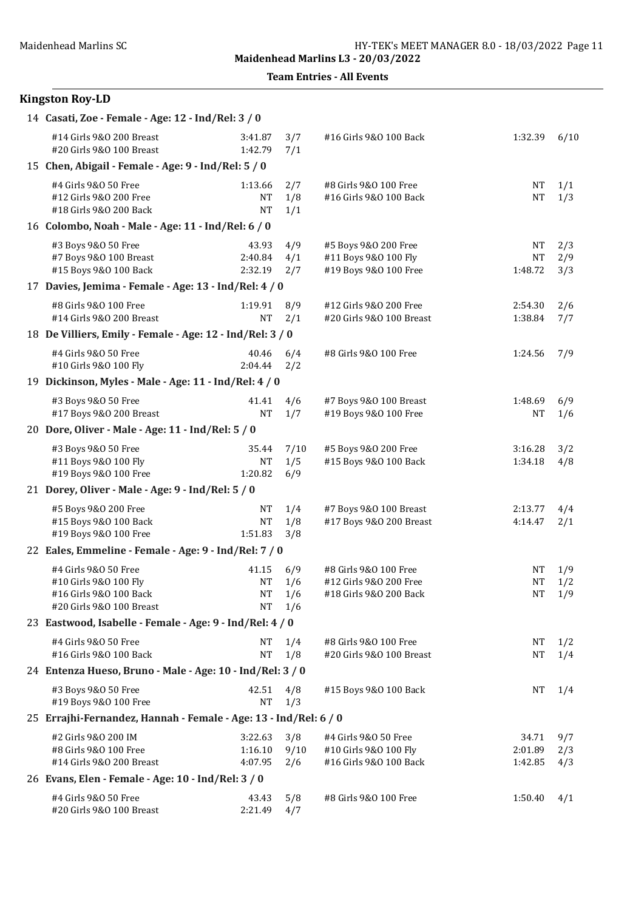Maidenhead Marlins L3 - 20/03/2022

Team Entries - All Events

| 14 Casati, Zoe - Female - Age: 12 - Ind/Rel: 3 / 0                                                  |                                  |                          |                                                                           |                                   |                   |  |  |  |
|-----------------------------------------------------------------------------------------------------|----------------------------------|--------------------------|---------------------------------------------------------------------------|-----------------------------------|-------------------|--|--|--|
| #14 Girls 9&0 200 Breast<br>#20 Girls 9&0 100 Breast                                                | 3:41.87<br>1:42.79               | 3/7<br>7/1               | #16 Girls 9&0 100 Back                                                    | 1:32.39                           | 6/10              |  |  |  |
| 15 Chen, Abigail - Female - Age: 9 - Ind/Rel: 5 / 0                                                 |                                  |                          |                                                                           |                                   |                   |  |  |  |
| #4 Girls 9&0 50 Free<br>#12 Girls 9&0 200 Free<br>#18 Girls 9&0 200 Back                            | 1:13.66<br>NT<br><b>NT</b>       | 2/7<br>1/8<br>1/1        | #8 Girls 9&0 100 Free<br>#16 Girls 9&0 100 Back                           | NΤ<br>NΤ                          | 1/1<br>1/3        |  |  |  |
| 16 Colombo, Noah - Male - Age: 11 - Ind/Rel: 6 / 0                                                  |                                  |                          |                                                                           |                                   |                   |  |  |  |
| #3 Boys 9&0 50 Free<br>#7 Boys 9&0 100 Breast<br>#15 Boys 9&0 100 Back                              | 43.93<br>2:40.84<br>2:32.19      | 4/9<br>4/1<br>2/7        | #5 Boys 9&0 200 Free<br>#11 Boys 9&0 100 Fly<br>#19 Boys 9&0 100 Free     | <b>NT</b><br><b>NT</b><br>1:48.72 | 2/3<br>2/9<br>3/3 |  |  |  |
| 17 Davies, Jemima - Female - Age: 13 - Ind/Rel: 4 / 0                                               |                                  |                          |                                                                           |                                   |                   |  |  |  |
| #8 Girls 9&0 100 Free<br>#14 Girls 9&0 200 Breast                                                   | 1:19.91<br>NT                    | 8/9<br>2/1               | #12 Girls 9&0 200 Free<br>#20 Girls 9&0 100 Breast                        | 2:54.30<br>1:38.84                | 2/6<br>7/7        |  |  |  |
| 18 De Villiers, Emily - Female - Age: 12 - Ind/Rel: 3 / 0                                           |                                  |                          |                                                                           |                                   |                   |  |  |  |
| #4 Girls 9&0 50 Free<br>#10 Girls 9&0 100 Fly                                                       | 40.46<br>2:04.44                 | 6/4<br>2/2               | #8 Girls 9&0 100 Free                                                     | 1:24.56                           | 7/9               |  |  |  |
| 19 Dickinson, Myles - Male - Age: 11 - Ind/Rel: 4 / 0                                               |                                  |                          |                                                                           |                                   |                   |  |  |  |
| #3 Boys 9&0 50 Free<br>#17 Boys 9&0 200 Breast                                                      | 41.41<br><b>NT</b>               | 4/6<br>1/7               | #7 Boys 9&0 100 Breast<br>#19 Boys 9&0 100 Free                           | 1:48.69<br>NΤ                     | 6/9<br>1/6        |  |  |  |
| 20 Dore, Oliver - Male - Age: 11 - Ind/Rel: 5 / 0                                                   |                                  |                          |                                                                           |                                   |                   |  |  |  |
| #3 Boys 9&0 50 Free<br>#11 Boys 9&0 100 Fly<br>#19 Boys 9&0 100 Free                                | 35.44<br>NT<br>1:20.82           | 7/10<br>1/5<br>6/9       | #5 Boys 9&0 200 Free<br>#15 Boys 9&0 100 Back                             | 3:16.28<br>1:34.18                | 3/2<br>4/8        |  |  |  |
| 21 Dorey, Oliver - Male - Age: 9 - Ind/Rel: 5 / 0                                                   |                                  |                          |                                                                           |                                   |                   |  |  |  |
| #5 Boys 9&0 200 Free<br>#15 Boys 9&0 100 Back<br>#19 Boys 9&0 100 Free                              | NT<br>NT<br>1:51.83              | 1/4<br>1/8<br>3/8        | #7 Boys 9&0 100 Breast<br>#17 Boys 9&0 200 Breast                         | 2:13.77<br>4:14.47                | 4/4<br>2/1        |  |  |  |
| 22 Eales, Emmeline - Female - Age: 9 - Ind/Rel: 7 / 0                                               |                                  |                          |                                                                           |                                   |                   |  |  |  |
| #4 Girls 9&0 50 Free<br>#10 Girls 9&0 100 Fly<br>#16 Girls 9&0 100 Back<br>#20 Girls 9&0 100 Breast | 41.15<br>NT<br>NT 1<br><b>NT</b> | 6/9<br>1/6<br>1/6<br>1/6 | #8 Girls 9&0 100 Free<br>#12 Girls 9&0 200 Free<br>#18 Girls 9&0 200 Back | NT<br><b>NT</b><br>$\rm{NT}$      | 1/9<br>1/2<br>1/9 |  |  |  |
| 23 Eastwood, Isabelle - Female - Age: 9 - Ind/Rel: 4 / 0                                            |                                  |                          |                                                                           |                                   |                   |  |  |  |
| #4 Girls 9&0 50 Free<br>#16 Girls 9&0 100 Back                                                      | NT<br><b>NT</b>                  | 1/4<br>1/8               | #8 Girls 9&0 100 Free<br>#20 Girls 9&0 100 Breast                         | NT<br>NΤ                          | 1/2<br>1/4        |  |  |  |
| 24 Entenza Hueso, Bruno - Male - Age: 10 - Ind/Rel: 3 / 0                                           |                                  |                          |                                                                           |                                   |                   |  |  |  |
| #3 Boys 9&0 50 Free<br>#19 Boys 9&0 100 Free                                                        | 42.51<br><b>NT</b>               | 4/8<br>1/3               | #15 Boys 9&0 100 Back                                                     | NT                                | 1/4               |  |  |  |
| 25 Errajhi-Fernandez, Hannah - Female - Age: 13 - Ind/Rel: 6 / 0                                    |                                  |                          |                                                                           |                                   |                   |  |  |  |
| #2 Girls 9&0 200 IM<br>#8 Girls 9&0 100 Free<br>#14 Girls 9&0 200 Breast                            | 3:22.63<br>1:16.10<br>4:07.95    | 3/8<br>9/10<br>2/6       | #4 Girls 9&0 50 Free<br>#10 Girls 9&0 100 Fly<br>#16 Girls 9&0 100 Back   | 34.71<br>2:01.89<br>1:42.85       | 9/7<br>2/3<br>4/3 |  |  |  |
| 26 Evans, Elen - Female - Age: 10 - Ind/Rel: 3 / 0                                                  |                                  |                          |                                                                           |                                   |                   |  |  |  |
| #4 Girls 9&0 50 Free<br>#20 Girls 9&0 100 Breast                                                    | 43.43<br>2:21.49                 | 5/8<br>4/7               | #8 Girls 9&0 100 Free                                                     | 1:50.40                           | 4/1               |  |  |  |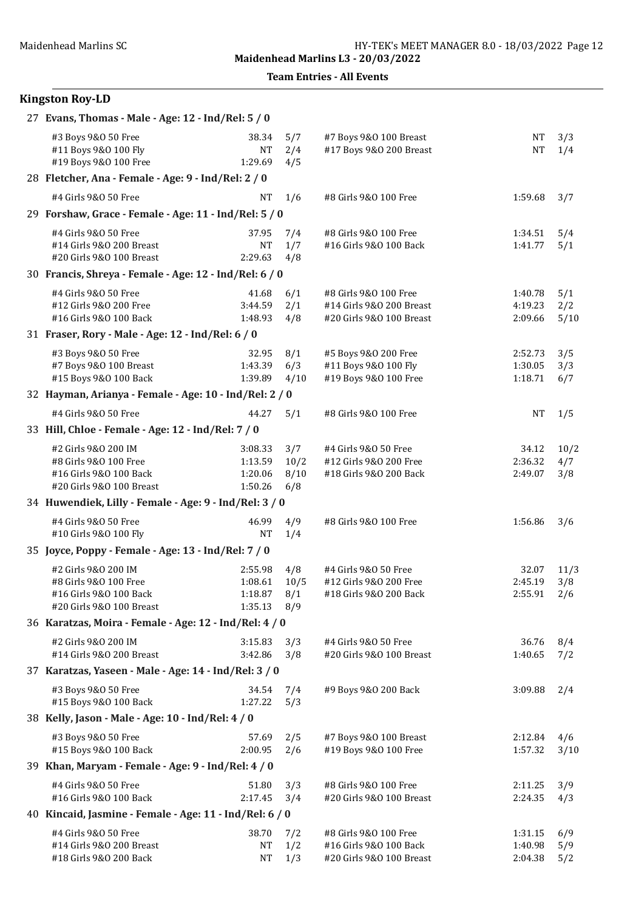Team Entries - All Events

| 27 Evans, Thomas - Male - Age: 12 - Ind/Rel: 5 / 0                                                 |                                          |                            |                                                                               |                               |                    |
|----------------------------------------------------------------------------------------------------|------------------------------------------|----------------------------|-------------------------------------------------------------------------------|-------------------------------|--------------------|
| #3 Boys 9&0 50 Free<br>#11 Boys 9&0 100 Fly<br>#19 Boys 9&0 100 Free                               | 38.34<br><b>NT</b><br>1:29.69            | 5/7<br>2/4<br>4/5          | #7 Boys 9&0 100 Breast<br>#17 Boys 9&0 200 Breast                             | <b>NT</b><br><b>NT</b>        | 3/3<br>1/4         |
| 28 Fletcher, Ana - Female - Age: 9 - Ind/Rel: 2 / 0                                                |                                          |                            |                                                                               |                               |                    |
| #4 Girls 9&0 50 Free                                                                               | <b>NT</b>                                | 1/6                        | #8 Girls 9&0 100 Free                                                         | 1:59.68                       | 3/7                |
| 29 Forshaw, Grace - Female - Age: 11 - Ind/Rel: 5 / 0                                              |                                          |                            |                                                                               |                               |                    |
| #4 Girls 9&0 50 Free<br>#14 Girls 9&0 200 Breast<br>#20 Girls 9&0 100 Breast                       | 37.95<br><b>NT</b><br>2:29.63            | 7/4<br>1/7<br>4/8          | #8 Girls 9&0 100 Free<br>#16 Girls 9&0 100 Back                               | 1:34.51<br>1:41.77            | 5/4<br>5/1         |
| 30 Francis, Shreya - Female - Age: 12 - Ind/Rel: 6 / 0                                             |                                          |                            |                                                                               |                               |                    |
| #4 Girls 9&0 50 Free<br>#12 Girls 9&0 200 Free<br>#16 Girls 9&0 100 Back                           | 41.68<br>3:44.59<br>1:48.93              | 6/1<br>2/1<br>4/8          | #8 Girls 9&0 100 Free<br>#14 Girls 9&0 200 Breast<br>#20 Girls 9&0 100 Breast | 1:40.78<br>4:19.23<br>2:09.66 | 5/1<br>2/2<br>5/10 |
| 31 Fraser, Rory - Male - Age: 12 - Ind/Rel: 6 / 0                                                  |                                          |                            |                                                                               |                               |                    |
| #3 Boys 9&0 50 Free<br>#7 Boys 9&0 100 Breast<br>#15 Boys 9&0 100 Back                             | 32.95<br>1:43.39<br>1:39.89              | 8/1<br>6/3<br>4/10         | #5 Boys 9&0 200 Free<br>#11 Boys 9&0 100 Fly<br>#19 Boys 9&0 100 Free         | 2:52.73<br>1:30.05<br>1:18.71 | 3/5<br>3/3<br>6/7  |
| 32 Hayman, Arianya - Female - Age: 10 - Ind/Rel: 2 / 0                                             |                                          |                            |                                                                               |                               |                    |
| #4 Girls 9&0 50 Free                                                                               | 44.27                                    | 5/1                        | #8 Girls 9&0 100 Free                                                         | <b>NT</b>                     | 1/5                |
| 33 Hill, Chloe - Female - Age: 12 - Ind/Rel: 7 / 0                                                 |                                          |                            |                                                                               |                               |                    |
| #2 Girls 9&0 200 IM<br>#8 Girls 9&0 100 Free<br>#16 Girls 9&0 100 Back<br>#20 Girls 9&0 100 Breast | 3:08.33<br>1:13.59<br>1:20.06<br>1:50.26 | 3/7<br>10/2<br>8/10<br>6/8 | #4 Girls 9&0 50 Free<br>#12 Girls 9&0 200 Free<br>#18 Girls 9&0 200 Back      | 34.12<br>2:36.32<br>2:49.07   | 10/2<br>4/7<br>3/8 |
| 34 Huwendiek, Lilly - Female - Age: 9 - Ind/Rel: 3 / 0                                             |                                          |                            |                                                                               |                               |                    |
| #4 Girls 9&0 50 Free<br>#10 Girls 9&0 100 Fly                                                      | 46.99<br><b>NT</b>                       | 4/9<br>1/4                 | #8 Girls 9&0 100 Free                                                         | 1:56.86                       | 3/6                |
| 35 Joyce, Poppy - Female - Age: 13 - Ind/Rel: 7 / 0                                                |                                          |                            |                                                                               |                               |                    |
| #2 Girls 9&0 200 IM<br>#8 Girls 9&0 100 Free<br>#16 Girls 9&0 100 Back<br>#20 Girls 9&0 100 Breast | 2:55.98<br>1:08.61<br>1:18.87<br>1:35.13 | 4/8<br>10/5<br>8/1<br>8/9  | #4 Girls 9&0 50 Free<br>#12 Girls 9&0 200 Free<br>#18 Girls 9&0 200 Back      | 32.07<br>2:45.19<br>2:55.91   | 11/3<br>3/8<br>2/6 |
| 36 Karatzas, Moira - Female - Age: 12 - Ind/Rel: 4 / 0                                             |                                          |                            |                                                                               |                               |                    |
| #2 Girls 9&0 200 IM<br>#14 Girls 9&0 200 Breast                                                    | 3:15.83<br>3:42.86                       | 3/3<br>3/8                 | #4 Girls 9&0 50 Free<br>#20 Girls 9&0 100 Breast                              | 36.76<br>1:40.65              | 8/4<br>7/2         |
| 37 Karatzas, Yaseen - Male - Age: 14 - Ind/Rel: 3 / 0                                              |                                          |                            |                                                                               |                               |                    |
| #3 Boys 9&0 50 Free<br>#15 Boys 9&0 100 Back                                                       | 34.54<br>1:27.22                         | 7/4<br>5/3                 | #9 Boys 9&0 200 Back                                                          | 3:09.88                       | 2/4                |
| 38 Kelly, Jason - Male - Age: 10 - Ind/Rel: 4 / 0                                                  |                                          |                            |                                                                               |                               |                    |
| #3 Boys 9&0 50 Free<br>#15 Boys 9&0 100 Back                                                       | 57.69<br>2:00.95                         | 2/5<br>2/6                 | #7 Boys 9&0 100 Breast<br>#19 Boys 9&0 100 Free                               | 2:12.84<br>1:57.32            | 4/6<br>3/10        |
| 39 Khan, Maryam - Female - Age: 9 - Ind/Rel: 4 / 0                                                 |                                          |                            |                                                                               |                               |                    |
| #4 Girls 9&0 50 Free<br>#16 Girls 9&0 100 Back                                                     | 51.80<br>2:17.45                         | 3/3<br>3/4                 | #8 Girls 9&0 100 Free<br>#20 Girls 9&0 100 Breast                             | 2:11.25<br>2:24.35            | 3/9<br>4/3         |
| 40 Kincaid, Jasmine - Female - Age: 11 - Ind/Rel: 6 / 0                                            |                                          |                            |                                                                               |                               |                    |
| #4 Girls 9&0 50 Free<br>#14 Girls 9&0 200 Breast<br>#18 Girls 9&0 200 Back                         | 38.70<br><b>NT</b><br><b>NT</b>          | 7/2<br>1/2<br>1/3          | #8 Girls 9&0 100 Free<br>#16 Girls 9&0 100 Back<br>#20 Girls 9&0 100 Breast   | 1:31.15<br>1:40.98<br>2:04.38 | 6/9<br>5/9<br>5/2  |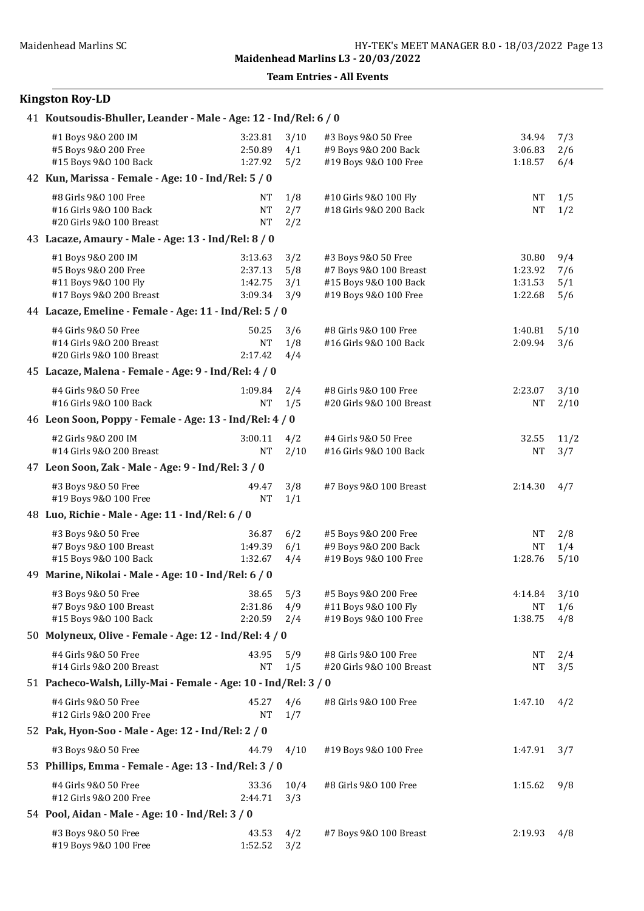Team Entries - All Events

| 41 Koutsoudis-Bhuller, Leander - Male - Age: 12 - Ind/Rel: 6 / 0                              |                                          |                          |                                                                                                 |                                        |                          |
|-----------------------------------------------------------------------------------------------|------------------------------------------|--------------------------|-------------------------------------------------------------------------------------------------|----------------------------------------|--------------------------|
| #1 Boys 9&0 200 IM<br>#5 Boys 9&0 200 Free<br>#15 Boys 9&0 100 Back                           | 3:23.81<br>2:50.89<br>1:27.92            | 3/10<br>4/1<br>5/2       | #3 Boys 9&0 50 Free<br>#9 Boys 9&0 200 Back<br>#19 Boys 9&0 100 Free                            | 34.94<br>3:06.83<br>1:18.57            | 7/3<br>2/6<br>6/4        |
| 42 Kun, Marissa - Female - Age: 10 - Ind/Rel: 5 / 0                                           |                                          |                          |                                                                                                 |                                        |                          |
| #8 Girls 9&0 100 Free<br>#16 Girls 9&0 100 Back<br>#20 Girls 9&0 100 Breast                   | <b>NT</b><br>NT<br><b>NT</b>             | 1/8<br>2/7<br>2/2        | #10 Girls 9&0 100 Fly<br>#18 Girls 9&0 200 Back                                                 | NT<br><b>NT</b>                        | 1/5<br>1/2               |
| 43 Lacaze, Amaury - Male - Age: 13 - Ind/Rel: 8 / 0                                           |                                          |                          |                                                                                                 |                                        |                          |
| #1 Boys 9&0 200 IM<br>#5 Boys 9&0 200 Free<br>#11 Boys 9&0 100 Fly<br>#17 Boys 9&0 200 Breast | 3:13.63<br>2:37.13<br>1:42.75<br>3:09.34 | 3/2<br>5/8<br>3/1<br>3/9 | #3 Boys 9&0 50 Free<br>#7 Boys 9&0 100 Breast<br>#15 Boys 9&0 100 Back<br>#19 Boys 9&0 100 Free | 30.80<br>1:23.92<br>1:31.53<br>1:22.68 | 9/4<br>7/6<br>5/1<br>5/6 |
| 44 Lacaze, Emeline - Female - Age: 11 - Ind/Rel: 5 / 0                                        |                                          |                          |                                                                                                 |                                        |                          |
| #4 Girls 9&0 50 Free<br>#14 Girls 9&0 200 Breast<br>#20 Girls 9&0 100 Breast                  | 50.25<br>NT<br>2:17.42                   | 3/6<br>1/8<br>4/4        | #8 Girls 9&0 100 Free<br>#16 Girls 9&0 100 Back                                                 | 1:40.81<br>2:09.94                     | 5/10<br>3/6              |
| 45 Lacaze, Malena - Female - Age: 9 - Ind/Rel: 4 / 0                                          |                                          |                          |                                                                                                 |                                        |                          |
| #4 Girls 9&0 50 Free<br>#16 Girls 9&0 100 Back                                                | 1:09.84<br><b>NT</b>                     | 2/4<br>1/5               | #8 Girls 9&0 100 Free<br>#20 Girls 9&0 100 Breast                                               | 2:23.07<br><b>NT</b>                   | 3/10<br>2/10             |
| 46 Leon Soon, Poppy - Female - Age: 13 - Ind/Rel: 4 / 0                                       |                                          |                          |                                                                                                 |                                        |                          |
| #2 Girls 9&0 200 IM<br>#14 Girls 9&0 200 Breast                                               | 3:00.11<br><b>NT</b>                     | 4/2<br>2/10              | #4 Girls 9&0 50 Free<br>#16 Girls 9&0 100 Back                                                  | 32.55<br>NΤ                            | 11/2<br>3/7              |
| 47 Leon Soon, Zak - Male - Age: 9 - Ind/Rel: 3 / 0                                            |                                          |                          |                                                                                                 |                                        |                          |
| #3 Boys 9&0 50 Free<br>#19 Boys 9&0 100 Free                                                  | 49.47<br><b>NT</b>                       | 3/8<br>1/1               | #7 Boys 9&0 100 Breast                                                                          | 2:14.30                                | 4/7                      |
| 48 Luo, Richie - Male - Age: 11 - Ind/Rel: 6 / 0                                              |                                          |                          |                                                                                                 |                                        |                          |
| #3 Boys 9&0 50 Free<br>#7 Boys 9&0 100 Breast<br>#15 Boys 9&0 100 Back                        | 36.87<br>1:49.39<br>1:32.67              | 6/2<br>6/1<br>4/4        | #5 Boys 9&0 200 Free<br>#9 Boys 9&0 200 Back<br>#19 Boys 9&0 100 Free                           | <b>NT</b><br><b>NT</b><br>1:28.76      | 2/8<br>1/4<br>5/10       |
| 49 Marine, Nikolai - Male - Age: 10 - Ind/Rel: 6 / 0                                          |                                          |                          |                                                                                                 |                                        |                          |
| #3 Boys 9&0 50 Free<br>#7 Boys 9&0 100 Breast<br>#15 Boys 9&0 100 Back                        | 38.65<br>2:31.86<br>2:20.59              | 5/3<br>4/9<br>2/4        | #5 Boys 9&0 200 Free<br>#11 Boys 9&0 100 Fly<br>#19 Boys 9&0 100 Free                           | 4:14.84<br><b>NT</b><br>1:38.75        | 3/10<br>1/6<br>4/8       |
| 50 Molyneux, Olive - Female - Age: 12 - Ind/Rel: 4 / 0                                        |                                          |                          |                                                                                                 |                                        |                          |
| #4 Girls 9&0 50 Free<br>#14 Girls 9&0 200 Breast                                              | 43.95<br><b>NT</b>                       | 5/9<br>1/5               | #8 Girls 9&0 100 Free<br>#20 Girls 9&0 100 Breast                                               | NΤ<br>NT                               | 2/4<br>3/5               |
| 51 Pacheco-Walsh, Lilly-Mai - Female - Age: 10 - Ind/Rel: 3 / 0                               |                                          |                          |                                                                                                 |                                        |                          |
| #4 Girls 9&0 50 Free<br>#12 Girls 9&0 200 Free                                                | 45.27<br><b>NT</b>                       | 4/6<br>1/7               | #8 Girls 9&0 100 Free                                                                           | 1:47.10                                | 4/2                      |
| 52 Pak, Hyon-Soo - Male - Age: 12 - Ind/Rel: 2 / 0                                            |                                          |                          |                                                                                                 |                                        |                          |
| #3 Boys 9&0 50 Free                                                                           | 44.79                                    | 4/10                     | #19 Boys 9&0 100 Free                                                                           | 1:47.91                                | 3/7                      |
| 53 Phillips, Emma - Female - Age: 13 - Ind/Rel: 3 / 0                                         |                                          |                          |                                                                                                 |                                        |                          |
| #4 Girls 9&0 50 Free<br>#12 Girls 9&0 200 Free                                                | 33.36<br>2:44.71                         | 10/4<br>3/3              | #8 Girls 9&0 100 Free                                                                           | 1:15.62                                | 9/8                      |
| 54 Pool, Aidan - Male - Age: 10 - Ind/Rel: 3 / 0                                              |                                          |                          |                                                                                                 |                                        |                          |
| #3 Boys 9&0 50 Free<br>#19 Boys 9&0 100 Free                                                  | 43.53<br>1:52.52                         | 4/2<br>3/2               | #7 Boys 9&0 100 Breast                                                                          | 2:19.93                                | 4/8                      |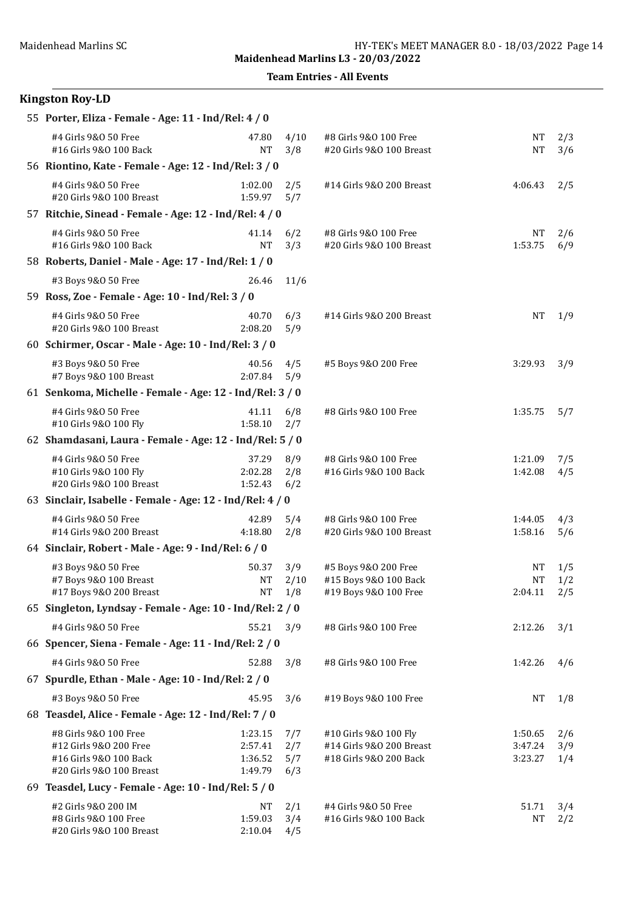Team Entries - All Events

| 55 Porter, Eliza - Female - Age: 11 - Ind/Rel: 4 / 0                                                  |                                          |                          |                                                                             |                               |                   |
|-------------------------------------------------------------------------------------------------------|------------------------------------------|--------------------------|-----------------------------------------------------------------------------|-------------------------------|-------------------|
| #4 Girls 9&0 50 Free<br>#16 Girls 9&0 100 Back                                                        | 47.80<br><b>NT</b>                       | 4/10<br>3/8              | #8 Girls 9&0 100 Free<br>#20 Girls 9&0 100 Breast                           | <b>NT</b><br><b>NT</b>        | 2/3<br>3/6        |
| 56 Riontino, Kate - Female - Age: 12 - Ind/Rel: 3 / 0                                                 |                                          |                          |                                                                             |                               |                   |
| #4 Girls 9&0 50 Free<br>#20 Girls 9&0 100 Breast                                                      | 1:02.00<br>1:59.97                       | 2/5<br>5/7               | #14 Girls 9&0 200 Breast                                                    | 4:06.43                       | 2/5               |
| 57 Ritchie, Sinead - Female - Age: 12 - Ind/Rel: 4 / 0                                                |                                          |                          |                                                                             |                               |                   |
| #4 Girls 9&0 50 Free<br>#16 Girls 9&0 100 Back                                                        | 41.14<br><b>NT</b>                       | 6/2<br>3/3               | #8 Girls 9&0 100 Free<br>#20 Girls 9&0 100 Breast                           | NT<br>1:53.75                 | 2/6<br>6/9        |
| 58 Roberts, Daniel - Male - Age: 17 - Ind/Rel: 1 / 0                                                  |                                          |                          |                                                                             |                               |                   |
| #3 Boys 9&0 50 Free                                                                                   | 26.46                                    | 11/6                     |                                                                             |                               |                   |
| 59 Ross, Zoe - Female - Age: 10 - Ind/Rel: 3 / 0                                                      |                                          |                          |                                                                             |                               |                   |
| #4 Girls 9&0 50 Free<br>#20 Girls 9&0 100 Breast                                                      | 40.70<br>2:08.20                         | 6/3<br>5/9               | #14 Girls 9&0 200 Breast                                                    | <b>NT</b>                     | 1/9               |
| 60 Schirmer, Oscar - Male - Age: 10 - Ind/Rel: 3 / 0                                                  |                                          |                          |                                                                             |                               |                   |
| #3 Boys 9&0 50 Free<br>#7 Boys 9&0 100 Breast                                                         | 40.56<br>2:07.84                         | 4/5<br>5/9               | #5 Boys 9&0 200 Free                                                        | 3:29.93                       | 3/9               |
| 61 Senkoma, Michelle - Female - Age: 12 - Ind/Rel: 3 / 0                                              |                                          |                          |                                                                             |                               |                   |
| #4 Girls 9&0 50 Free<br>#10 Girls 9&0 100 Fly                                                         | 41.11<br>1:58.10                         | 6/8<br>2/7               | #8 Girls 9&0 100 Free                                                       | 1:35.75                       | 5/7               |
| 62 Shamdasani, Laura - Female - Age: 12 - Ind/Rel: 5 / 0                                              |                                          |                          |                                                                             |                               |                   |
| #4 Girls 9&0 50 Free<br>#10 Girls 9&0 100 Fly<br>#20 Girls 9&0 100 Breast                             | 37.29<br>2:02.28<br>1:52.43              | 8/9<br>2/8<br>6/2        | #8 Girls 9&0 100 Free<br>#16 Girls 9&0 100 Back                             | 1:21.09<br>1:42.08            | 7/5<br>4/5        |
| 63 Sinclair, Isabelle - Female - Age: 12 - Ind/Rel: 4 / 0                                             |                                          |                          |                                                                             |                               |                   |
| #4 Girls 9&0 50 Free<br>#14 Girls 9&0 200 Breast                                                      | 42.89<br>4:18.80                         | 5/4<br>2/8               | #8 Girls 9&0 100 Free<br>#20 Girls 9&0 100 Breast                           | 1:44.05<br>1:58.16            | 4/3<br>5/6        |
| 64 Sinclair, Robert - Male - Age: 9 - Ind/Rel: 6 / 0                                                  |                                          |                          |                                                                             |                               |                   |
| #3 Boys 9&0 50 Free<br>#7 Boys 9&0 100 Breast<br>#17 Boys 9&0 200 Breast                              | 50.37<br>NT                              | 3/9<br>2/10<br>NT 1/8    | #5 Boys 9&0 200 Free<br>#15 Boys 9&0 100 Back<br>#19 Boys 9&0 100 Free      | NT<br><b>NT</b><br>2:04.11    | 1/5<br>1/2<br>2/5 |
| 65 Singleton, Lyndsay - Female - Age: 10 - Ind/Rel: 2 / 0                                             |                                          |                          |                                                                             |                               |                   |
| #4 Girls 9&0 50 Free                                                                                  | 55.21                                    | 3/9                      | #8 Girls 9&0 100 Free                                                       | 2:12.26                       | 3/1               |
| 66 Spencer, Siena - Female - Age: 11 - Ind/Rel: 2 / 0                                                 |                                          |                          |                                                                             |                               |                   |
| #4 Girls 9&0 50 Free                                                                                  | 52.88                                    | 3/8                      | #8 Girls 9&0 100 Free                                                       | 1:42.26                       | 4/6               |
| 67 Spurdle, Ethan - Male - Age: 10 - Ind/Rel: 2 / 0                                                   |                                          |                          |                                                                             |                               |                   |
| #3 Boys 9&0 50 Free                                                                                   | 45.95                                    | 3/6                      | #19 Boys 9&0 100 Free                                                       | NT                            | 1/8               |
| 68 Teasdel, Alice - Female - Age: 12 - Ind/Rel: 7 / 0                                                 |                                          |                          |                                                                             |                               |                   |
| #8 Girls 9&0 100 Free<br>#12 Girls 9&0 200 Free<br>#16 Girls 9&0 100 Back<br>#20 Girls 9&0 100 Breast | 1:23.15<br>2:57.41<br>1:36.52<br>1:49.79 | 7/7<br>2/7<br>5/7<br>6/3 | #10 Girls 9&0 100 Fly<br>#14 Girls 9&0 200 Breast<br>#18 Girls 9&0 200 Back | 1:50.65<br>3:47.24<br>3:23.27 | 2/6<br>3/9<br>1/4 |
| 69 Teasdel, Lucy - Female - Age: 10 - Ind/Rel: 5 / 0                                                  |                                          |                          |                                                                             |                               |                   |
| #2 Girls 9&0 200 IM<br>#8 Girls 9&0 100 Free<br>#20 Girls 9&0 100 Breast                              | NT<br>1:59.03<br>2:10.04                 | 2/1<br>3/4<br>4/5        | #4 Girls 9&0 50 Free<br>#16 Girls 9&0 100 Back                              | 51.71<br><b>NT</b>            | 3/4<br>2/2        |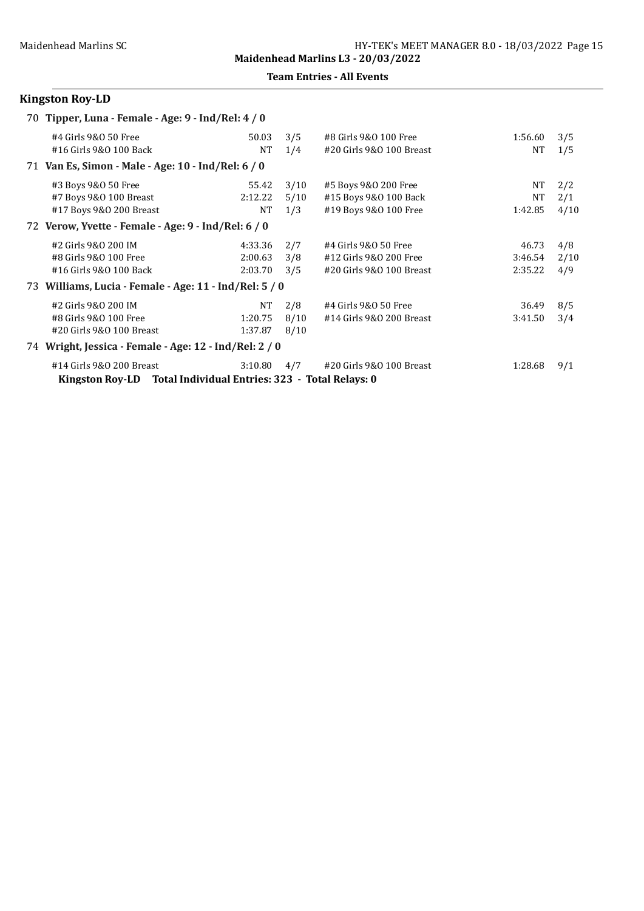Team Entries - All Events

| 70 Tipper, Luna - Female - Age: 9 - Ind/Rel: 4 / 0              |           |      |                          |           |      |
|-----------------------------------------------------------------|-----------|------|--------------------------|-----------|------|
| #4 Girls 9&0 50 Free                                            | 50.03     | 3/5  | #8 Girls 9&0 100 Free    | 1:56.60   | 3/5  |
| #16 Girls 9&0 100 Back                                          | <b>NT</b> | 1/4  | #20 Girls 9&0 100 Breast | <b>NT</b> | 1/5  |
| 71 Van Es, Simon - Male - Age: 10 - Ind/Rel: 6 / 0              |           |      |                          |           |      |
| #3 Boys 9&0 50 Free                                             | 55.42     | 3/10 | #5 Boys 9&0 200 Free     | NT        | 2/2  |
| #7 Boys 9&0 100 Breast                                          | 2:12.22   | 5/10 | #15 Boys 9&0 100 Back    | NT        | 2/1  |
| #17 Boys 9&0 200 Breast                                         | NT        | 1/3  | #19 Boys 9&0 100 Free    | 1:42.85   | 4/10 |
| 72 Verow, Yvette - Female - Age: 9 - Ind/Rel: 6 / 0             |           |      |                          |           |      |
| #2 Girls 9&0 200 IM                                             | 4:33.36   | 2/7  | #4 Girls 9&0 50 Free     | 46.73     | 4/8  |
| #8 Girls 9&0 100 Free                                           | 2:00.63   | 3/8  | #12 Girls 9&0 200 Free   | 3:46.54   | 2/10 |
| #16 Girls 9&0 100 Back                                          | 2:03.70   | 3/5  | #20 Girls 9&0 100 Breast | 2:35.22   | 4/9  |
| 73 Williams, Lucia - Female - Age: 11 - Ind/Rel: 5 / 0          |           |      |                          |           |      |
| #2 Girls 9&0 200 IM                                             | NT        | 2/8  | #4 Girls 9&0 50 Free     | 36.49     | 8/5  |
| #8 Girls 9&0 100 Free                                           | 1:20.75   | 8/10 | #14 Girls 9&0 200 Breast | 3:41.50   | 3/4  |
| #20 Girls 9&0 100 Breast                                        | 1:37.87   | 8/10 |                          |           |      |
| 74 Wright, Jessica - Female - Age: 12 - Ind/Rel: 2 / 0          |           |      |                          |           |      |
| #14 Girls 9&0 200 Breast                                        | 3:10.80   | 4/7  | #20 Girls 9&0 100 Breast | 1:28.68   | 9/1  |
| Kingston Roy-LD Total Individual Entries: 323 - Total Relays: 0 |           |      |                          |           |      |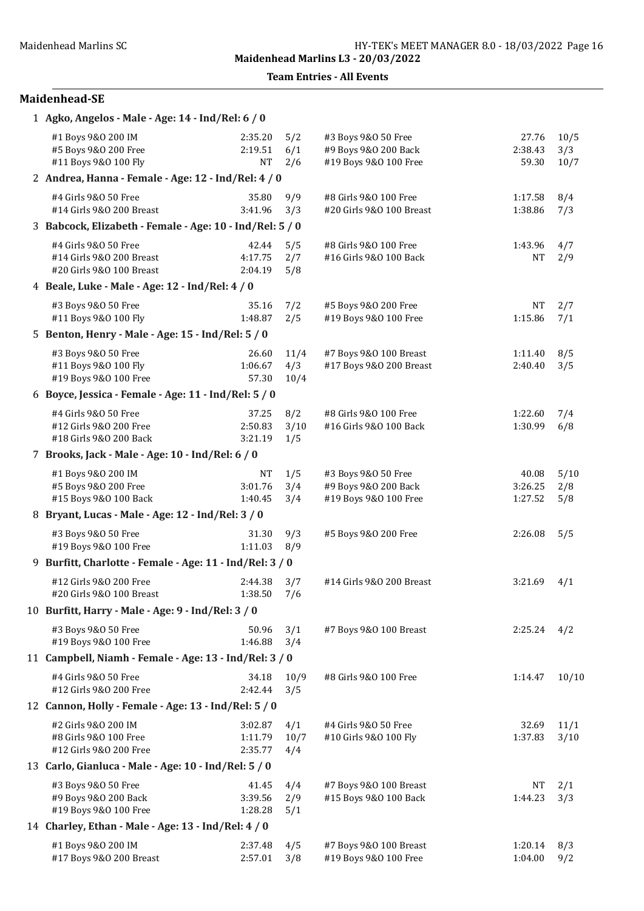#### Team Entries - All Events

| 1 Agko, Angelos - Male - Age: 14 - Ind/Rel: 6 / 0                            |                                 |                     |                                                                      |                             |                     |  |  |  |
|------------------------------------------------------------------------------|---------------------------------|---------------------|----------------------------------------------------------------------|-----------------------------|---------------------|--|--|--|
| #1 Boys 9&0 200 IM<br>#5 Boys 9&0 200 Free<br>#11 Boys 9&0 100 Fly           | 2:35.20<br>2:19.51<br><b>NT</b> | 5/2<br>6/1<br>2/6   | #3 Boys 9&0 50 Free<br>#9 Boys 9&0 200 Back<br>#19 Boys 9&0 100 Free | 27.76<br>2:38.43<br>59.30   | 10/5<br>3/3<br>10/7 |  |  |  |
| 2 Andrea, Hanna - Female - Age: 12 - Ind/Rel: 4 / 0                          |                                 |                     |                                                                      |                             |                     |  |  |  |
| #4 Girls 9&0 50 Free<br>#14 Girls 9&0 200 Breast                             | 35.80<br>3:41.96                | 9/9<br>3/3          | #8 Girls 9&0 100 Free<br>#20 Girls 9&0 100 Breast                    | 1:17.58<br>1:38.86          | 8/4<br>7/3          |  |  |  |
| 3 Babcock, Elizabeth - Female - Age: 10 - Ind/Rel: 5 / 0                     |                                 |                     |                                                                      |                             |                     |  |  |  |
| #4 Girls 9&0 50 Free<br>#14 Girls 9&0 200 Breast<br>#20 Girls 9&0 100 Breast | 42.44<br>4:17.75<br>2:04.19     | 5/5<br>2/7<br>5/8   | #8 Girls 9&0 100 Free<br>#16 Girls 9&0 100 Back                      | 1:43.96<br><b>NT</b>        | 4/7<br>2/9          |  |  |  |
| 4 Beale, Luke - Male - Age: 12 - Ind/Rel: 4 / 0                              |                                 |                     |                                                                      |                             |                     |  |  |  |
| #3 Boys 9&0 50 Free<br>#11 Boys 9&0 100 Fly                                  | 35.16<br>1:48.87                | 7/2<br>2/5          | #5 Boys 9&0 200 Free<br>#19 Boys 9&0 100 Free                        | <b>NT</b><br>1:15.86        | 2/7<br>7/1          |  |  |  |
| 5 Benton, Henry - Male - Age: 15 - Ind/Rel: 5 / 0                            |                                 |                     |                                                                      |                             |                     |  |  |  |
| #3 Boys 9&0 50 Free<br>#11 Boys 9&0 100 Fly<br>#19 Boys 9&0 100 Free         | 26.60<br>1:06.67<br>57.30       | 11/4<br>4/3<br>10/4 | #7 Boys 9&0 100 Breast<br>#17 Boys 9&0 200 Breast                    | 1:11.40<br>2:40.40          | 8/5<br>3/5          |  |  |  |
| 6 Boyce, Jessica - Female - Age: 11 - Ind/Rel: 5 / 0                         |                                 |                     |                                                                      |                             |                     |  |  |  |
| #4 Girls 9&0 50 Free<br>#12 Girls 9&0 200 Free<br>#18 Girls 9&0 200 Back     | 37.25<br>2:50.83<br>3:21.19     | 8/2<br>3/10<br>1/5  | #8 Girls 9&0 100 Free<br>#16 Girls 9&0 100 Back                      | 1:22.60<br>1:30.99          | 7/4<br>6/8          |  |  |  |
| 7 Brooks, Jack - Male - Age: 10 - Ind/Rel: 6 / 0                             |                                 |                     |                                                                      |                             |                     |  |  |  |
| #1 Boys 9&0 200 IM<br>#5 Boys 9&0 200 Free<br>#15 Boys 9&0 100 Back          | NT<br>3:01.76<br>1:40.45        | 1/5<br>3/4<br>3/4   | #3 Boys 9&0 50 Free<br>#9 Boys 9&0 200 Back<br>#19 Boys 9&0 100 Free | 40.08<br>3:26.25<br>1:27.52 | 5/10<br>2/8<br>5/8  |  |  |  |
| 8 Bryant, Lucas - Male - Age: 12 - Ind/Rel: 3 / 0                            |                                 |                     |                                                                      |                             |                     |  |  |  |
| #3 Boys 9&0 50 Free<br>#19 Boys 9&0 100 Free                                 | 31.30<br>1:11.03                | 9/3<br>8/9          | #5 Boys 9&0 200 Free                                                 | 2:26.08                     | 5/5                 |  |  |  |
| 9 Burfitt, Charlotte - Female - Age: 11 - Ind/Rel: 3 / 0                     |                                 |                     |                                                                      |                             |                     |  |  |  |
| #12 Girls 9&0 200 Free<br>#20 Girls 9&0 100 Breast                           | 2:44.38<br>1:38.50              | 3/7<br>7/6          | #14 Girls 9&0 200 Breast                                             | 3:21.69                     | 4/1                 |  |  |  |
| 10 Burfitt, Harry - Male - Age: 9 - Ind/Rel: 3 / 0                           |                                 |                     |                                                                      |                             |                     |  |  |  |
| #3 Boys 9&0 50 Free<br>#19 Boys 9&0 100 Free                                 | 50.96<br>1:46.88                | 3/1<br>3/4          | #7 Boys 9&0 100 Breast                                               | 2:25.24                     | 4/2                 |  |  |  |
| 11 Campbell, Niamh - Female - Age: 13 - Ind/Rel: 3 / 0                       |                                 |                     |                                                                      |                             |                     |  |  |  |
| #4 Girls 9&0 50 Free<br>#12 Girls 9&0 200 Free                               | 34.18<br>2:42.44                | 10/9<br>3/5         | #8 Girls 9&0 100 Free                                                | 1:14.47                     | 10/10               |  |  |  |
| 12 Cannon, Holly - Female - Age: 13 - Ind/Rel: 5 / 0                         |                                 |                     |                                                                      |                             |                     |  |  |  |
| #2 Girls 9&0 200 IM<br>#8 Girls 9&0 100 Free<br>#12 Girls 9&0 200 Free       | 3:02.87<br>1:11.79<br>2:35.77   | 4/1<br>10/7<br>4/4  | #4 Girls 9&0 50 Free<br>#10 Girls 9&0 100 Fly                        | 32.69<br>1:37.83            | 11/1<br>3/10        |  |  |  |
| 13 Carlo, Gianluca - Male - Age: 10 - Ind/Rel: 5 / 0                         |                                 |                     |                                                                      |                             |                     |  |  |  |
| #3 Boys 9&0 50 Free<br>#9 Boys 9&0 200 Back<br>#19 Boys 9&0 100 Free         | 41.45<br>3:39.56<br>1:28.28     | 4/4<br>2/9<br>5/1   | #7 Boys 9&0 100 Breast<br>#15 Boys 9&0 100 Back                      | NT<br>1:44.23               | 2/1<br>3/3          |  |  |  |
| 14 Charley, Ethan - Male - Age: 13 - Ind/Rel: 4 / 0                          |                                 |                     |                                                                      |                             |                     |  |  |  |
| #1 Boys 9&0 200 IM<br>#17 Boys 9&0 200 Breast                                | 2:37.48<br>2:57.01              | 4/5<br>3/8          | #7 Boys 9&0 100 Breast<br>#19 Boys 9&0 100 Free                      | 1:20.14<br>1:04.00          | 8/3<br>9/2          |  |  |  |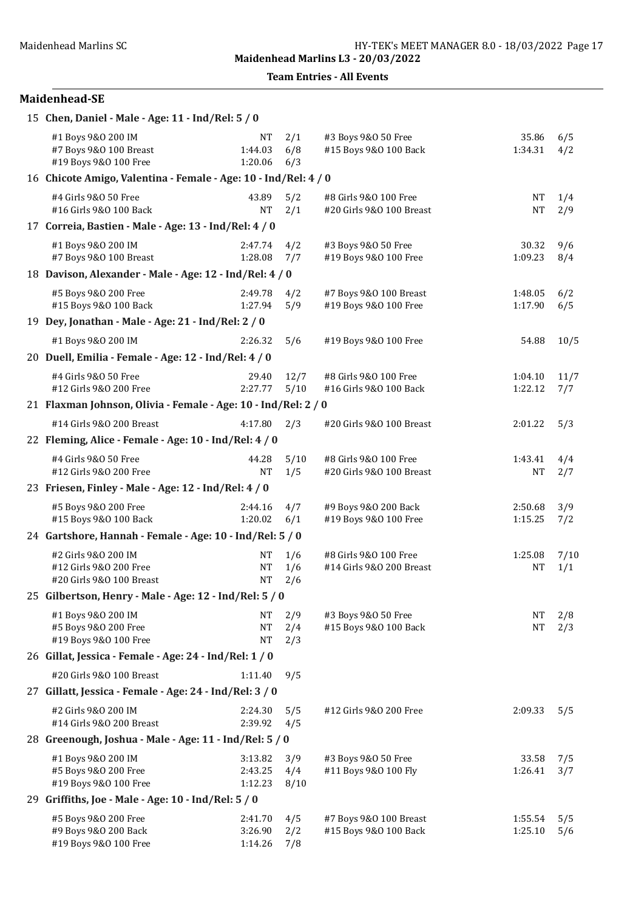Team Entries - All Events

| 15 Chen, Daniel - Male - Age: 11 - Ind/Rel: 5 / 0                         |                                                          |                    |                                                   |                      |             |  |  |  |  |
|---------------------------------------------------------------------------|----------------------------------------------------------|--------------------|---------------------------------------------------|----------------------|-------------|--|--|--|--|
| #1 Boys 9&0 200 IM<br>#7 Boys 9&0 100 Breast<br>#19 Boys 9&0 100 Free     | <b>NT</b><br>1:44.03<br>1:20.06                          | 2/1<br>6/8<br>6/3  | #3 Boys 9&0 50 Free<br>#15 Boys 9&0 100 Back      | 35.86<br>1:34.31     | 6/5<br>4/2  |  |  |  |  |
| 16 Chicote Amigo, Valentina - Female - Age: 10 - Ind/Rel: 4 / 0           |                                                          |                    |                                                   |                      |             |  |  |  |  |
| #4 Girls 9&0 50 Free<br>#16 Girls 9&0 100 Back                            | 43.89<br><b>NT</b>                                       | 5/2<br>2/1         | #8 Girls 9&0 100 Free<br>#20 Girls 9&0 100 Breast | NT<br><b>NT</b>      | 1/4<br>2/9  |  |  |  |  |
| 17 Correia, Bastien - Male - Age: 13 - Ind/Rel: 4 / 0                     |                                                          |                    |                                                   |                      |             |  |  |  |  |
| #1 Boys 9&0 200 IM<br>#7 Boys 9&0 100 Breast                              | 2:47.74<br>1:28.08                                       | 4/2<br>7/7         | #3 Boys 9&0 50 Free<br>#19 Boys 9&0 100 Free      | 30.32<br>1:09.23     | 9/6<br>8/4  |  |  |  |  |
| 18 Davison, Alexander - Male - Age: 12 - Ind/Rel: 4 / 0                   |                                                          |                    |                                                   |                      |             |  |  |  |  |
| #5 Boys 9&0 200 Free<br>#15 Boys 9&0 100 Back                             | 2:49.78<br>1:27.94                                       | 4/2<br>5/9         | #7 Boys 9&0 100 Breast<br>#19 Boys 9&0 100 Free   | 1:48.05<br>1:17.90   | 6/2<br>6/5  |  |  |  |  |
| 19 Dey, Jonathan - Male - Age: 21 - Ind/Rel: 2 / 0                        |                                                          |                    |                                                   |                      |             |  |  |  |  |
| #1 Boys 9&0 200 IM                                                        | 2:26.32                                                  | 5/6                | #19 Boys 9&0 100 Free                             | 54.88                | 10/5        |  |  |  |  |
| 20 Duell, Emilia - Female - Age: 12 - Ind/Rel: 4 / 0                      |                                                          |                    |                                                   |                      |             |  |  |  |  |
| #4 Girls 9&0 50 Free<br>#12 Girls 9&0 200 Free                            | 29.40<br>2:27.77                                         | 12/7<br>5/10       | #8 Girls 9&0 100 Free<br>#16 Girls 9&0 100 Back   | 1:04.10<br>1:22.12   | 11/7<br>7/7 |  |  |  |  |
| 21 Flaxman Johnson, Olivia - Female - Age: 10 - Ind/Rel: 2 / 0            |                                                          |                    |                                                   |                      |             |  |  |  |  |
| #14 Girls 9&0 200 Breast                                                  | 4:17.80                                                  | 2/3                | #20 Girls 9&0 100 Breast                          | 2:01.22              | 5/3         |  |  |  |  |
| 22 Fleming, Alice - Female - Age: 10 - Ind/Rel: 4 / 0                     |                                                          |                    |                                                   |                      |             |  |  |  |  |
| #4 Girls 9&0 50 Free<br>#12 Girls 9&0 200 Free                            | 44.28<br><b>NT</b>                                       | 5/10<br>1/5        | #8 Girls 9&0 100 Free<br>#20 Girls 9&0 100 Breast | 1:43.41<br>NT        | 4/4<br>2/7  |  |  |  |  |
| 23 Friesen, Finley - Male - Age: 12 - Ind/Rel: 4 / 0                      |                                                          |                    |                                                   |                      |             |  |  |  |  |
| #5 Boys 9&0 200 Free<br>#15 Boys 9&0 100 Back                             | 2:44.16<br>1:20.02                                       | 4/7<br>6/1         | #9 Boys 9&0 200 Back<br>#19 Boys 9&0 100 Free     | 2:50.68<br>1:15.25   | 3/9<br>7/2  |  |  |  |  |
|                                                                           | 24 Gartshore, Hannah - Female - Age: 10 - Ind/Rel: 5 / 0 |                    |                                                   |                      |             |  |  |  |  |
| #2 Girls 9&0 200 IM<br>#12 Girls 9&0 200 Free<br>#20 Girls 9&0 100 Breast | NT<br><b>NT</b><br>NT                                    | 1/6<br>1/6<br>2/6  | #8 Girls 9&0 100 Free<br>#14 Girls 9&0 200 Breast | 1:25.08<br><b>NT</b> | 7/10<br>1/1 |  |  |  |  |
| 25 Gilbertson, Henry - Male - Age: 12 - Ind/Rel: 5 / 0                    |                                                          |                    |                                                   |                      |             |  |  |  |  |
| #1 Boys 9&0 200 IM<br>#5 Boys 9&0 200 Free<br>#19 Boys 9&0 100 Free       | NT<br><b>NT</b><br><b>NT</b>                             | 2/9<br>2/4<br>2/3  | #3 Boys 9&0 50 Free<br>#15 Boys 9&0 100 Back      | NT<br><b>NT</b>      | 2/8<br>2/3  |  |  |  |  |
| 26 Gillat, Jessica - Female - Age: 24 - Ind/Rel: 1 / 0                    |                                                          |                    |                                                   |                      |             |  |  |  |  |
| #20 Girls 9&0 100 Breast                                                  | 1:11.40                                                  | 9/5                |                                                   |                      |             |  |  |  |  |
| 27 Gillatt, Jessica - Female - Age: 24 - Ind/Rel: 3 / 0                   |                                                          |                    |                                                   |                      |             |  |  |  |  |
| #2 Girls 9&0 200 IM<br>#14 Girls 9&0 200 Breast                           | 2:24.30<br>2:39.92                                       | 5/5<br>4/5         | #12 Girls 9&0 200 Free                            | 2:09.33              | 5/5         |  |  |  |  |
| 28 Greenough, Joshua - Male - Age: 11 - Ind/Rel: 5 / 0                    |                                                          |                    |                                                   |                      |             |  |  |  |  |
| #1 Boys 9&0 200 IM<br>#5 Boys 9&0 200 Free<br>#19 Boys 9&0 100 Free       | 3:13.82<br>2:43.25<br>1:12.23                            | 3/9<br>4/4<br>8/10 | #3 Boys 9&0 50 Free<br>#11 Boys 9&0 100 Fly       | 33.58<br>1:26.41     | 7/5<br>3/7  |  |  |  |  |
| 29 Griffiths, Joe - Male - Age: 10 - Ind/Rel: 5 / 0                       |                                                          |                    |                                                   |                      |             |  |  |  |  |
| #5 Boys 9&0 200 Free<br>#9 Boys 9&0 200 Back<br>#19 Boys 9&0 100 Free     | 2:41.70<br>3:26.90<br>1:14.26                            | 4/5<br>2/2<br>7/8  | #7 Boys 9&0 100 Breast<br>#15 Boys 9&0 100 Back   | 1:55.54<br>1:25.10   | 5/5<br>5/6  |  |  |  |  |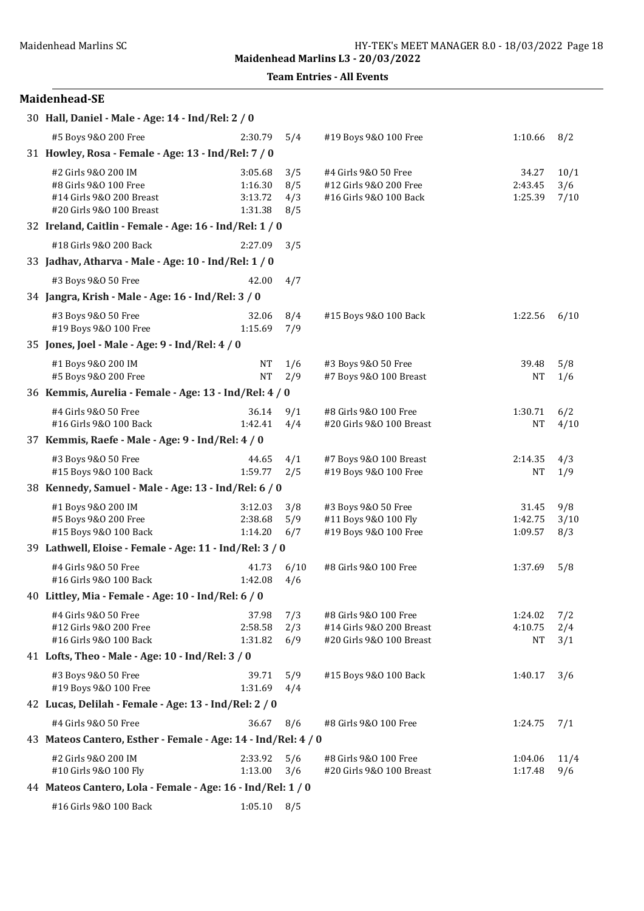Team Entries - All Events

| 30 Hall, Daniel - Male - Age: 14 - Ind/Rel: 2 / 0                                                    |                                          |                          |                                                                               |                                 |                     |
|------------------------------------------------------------------------------------------------------|------------------------------------------|--------------------------|-------------------------------------------------------------------------------|---------------------------------|---------------------|
| #5 Boys 9&0 200 Free                                                                                 | 2:30.79                                  | 5/4                      | #19 Boys 9&0 100 Free                                                         | 1:10.66                         | 8/2                 |
| 31 Howley, Rosa - Female - Age: 13 - Ind/Rel: 7 / 0                                                  |                                          |                          |                                                                               |                                 |                     |
| #2 Girls 9&0 200 IM<br>#8 Girls 9&0 100 Free<br>#14 Girls 9&0 200 Breast<br>#20 Girls 9&0 100 Breast | 3:05.68<br>1:16.30<br>3:13.72<br>1:31.38 | 3/5<br>8/5<br>4/3<br>8/5 | #4 Girls 9&0 50 Free<br>#12 Girls 9&0 200 Free<br>#16 Girls 9&0 100 Back      | 34.27<br>2:43.45<br>1:25.39     | 10/1<br>3/6<br>7/10 |
| 32 Ireland, Caitlin - Female - Age: 16 - Ind/Rel: 1 / 0                                              |                                          |                          |                                                                               |                                 |                     |
| #18 Girls 9&0 200 Back                                                                               | 2:27.09                                  | 3/5                      |                                                                               |                                 |                     |
| 33 Jadhav, Atharva - Male - Age: 10 - Ind/Rel: 1 / 0                                                 |                                          |                          |                                                                               |                                 |                     |
| #3 Boys 9&0 50 Free                                                                                  | 42.00                                    | 4/7                      |                                                                               |                                 |                     |
| 34 Jangra, Krish - Male - Age: 16 - Ind/Rel: 3 / 0                                                   |                                          |                          |                                                                               |                                 |                     |
| #3 Boys 9&0 50 Free<br>#19 Boys 9&0 100 Free                                                         | 32.06<br>1:15.69                         | 8/4<br>7/9               | #15 Boys 9&0 100 Back                                                         | 1:22.56                         | 6/10                |
| 35 Jones, Joel - Male - Age: 9 - Ind/Rel: 4 / 0                                                      |                                          |                          |                                                                               |                                 |                     |
| #1 Boys 9&0 200 IM<br>#5 Boys 9&0 200 Free                                                           | <b>NT</b><br><b>NT</b>                   | 1/6<br>2/9               | #3 Boys 9&0 50 Free<br>#7 Boys 9&0 100 Breast                                 | 39.48<br><b>NT</b>              | 5/8<br>1/6          |
| 36 Kemmis, Aurelia - Female - Age: 13 - Ind/Rel: 4 / 0                                               |                                          |                          |                                                                               |                                 |                     |
| #4 Girls 9&0 50 Free<br>#16 Girls 9&0 100 Back                                                       | 36.14<br>1:42.41                         | 9/1<br>4/4               | #8 Girls 9&0 100 Free<br>#20 Girls 9&0 100 Breast                             | 1:30.71<br><b>NT</b>            | 6/2<br>4/10         |
| 37 Kemmis, Raefe - Male - Age: 9 - Ind/Rel: 4 / 0                                                    |                                          |                          |                                                                               |                                 |                     |
| #3 Boys 9&0 50 Free<br>#15 Boys 9&0 100 Back                                                         | 44.65<br>1:59.77                         | 4/1<br>2/5               | #7 Boys 9&0 100 Breast<br>#19 Boys 9&0 100 Free                               | 2:14.35<br>NΤ                   | 4/3<br>1/9          |
| 38 Kennedy, Samuel - Male - Age: 13 - Ind/Rel: 6 / 0                                                 |                                          |                          |                                                                               |                                 |                     |
| #1 Boys 9&0 200 IM<br>#5 Boys 9&0 200 Free<br>#15 Boys 9&0 100 Back                                  | 3:12.03<br>2:38.68<br>1:14.20            | 3/8<br>5/9<br>6/7        | #3 Boys 9&0 50 Free<br>#11 Boys 9&0 100 Fly<br>#19 Boys 9&0 100 Free          | 31.45<br>1:42.75<br>1:09.57     | 9/8<br>3/10<br>8/3  |
| 39 Lathwell, Eloise - Female - Age: 11 - Ind/Rel: 3 / 0                                              |                                          |                          |                                                                               |                                 |                     |
| #4 Girls 9&0 50 Free<br>#16 Girls 9&0 100 Back                                                       | 41.73<br>1:42.08                         | 6/10<br>4/6              | #8 Girls 9&0 100 Free                                                         | 1:37.69                         | 5/8                 |
| 40 Littley, Mia - Female - Age: 10 - Ind/Rel: 6 / 0                                                  |                                          |                          |                                                                               |                                 |                     |
| #4 Girls 9&0 50 Free<br>#12 Girls 9&0 200 Free<br>#16 Girls 9&0 100 Back                             | 37.98<br>2:58.58<br>1:31.82              | 7/3<br>2/3<br>6/9        | #8 Girls 9&0 100 Free<br>#14 Girls 9&0 200 Breast<br>#20 Girls 9&0 100 Breast | 1:24.02<br>4:10.75<br><b>NT</b> | 7/2<br>2/4<br>3/1   |
| 41 Lofts, Theo - Male - Age: 10 - Ind/Rel: 3 / 0                                                     |                                          |                          |                                                                               |                                 |                     |
| #3 Boys 9&0 50 Free<br>#19 Boys 9&0 100 Free                                                         | 39.71<br>1:31.69                         | 5/9<br>4/4               | #15 Boys 9&0 100 Back                                                         | 1:40.17                         | 3/6                 |
| 42 Lucas, Delilah - Female - Age: 13 - Ind/Rel: 2 / 0                                                |                                          |                          |                                                                               |                                 |                     |
| #4 Girls 9&0 50 Free                                                                                 | 36.67                                    | 8/6                      | #8 Girls 9&0 100 Free                                                         | 1:24.75                         | 7/1                 |
| 43 Mateos Cantero, Esther - Female - Age: 14 - Ind/Rel: 4 / 0                                        |                                          |                          |                                                                               |                                 |                     |
| #2 Girls 9&0 200 IM<br>#10 Girls 9&0 100 Fly                                                         | 2:33.92<br>1:13.00                       | 5/6<br>3/6               | #8 Girls 9&0 100 Free<br>#20 Girls 9&0 100 Breast                             | 1:04.06<br>1:17.48              | 11/4<br>9/6         |
| 44 Mateos Cantero, Lola - Female - Age: 16 - Ind/Rel: 1 / 0                                          |                                          |                          |                                                                               |                                 |                     |
| #16 Girls 9&0 100 Back                                                                               | 1:05.10                                  | 8/5                      |                                                                               |                                 |                     |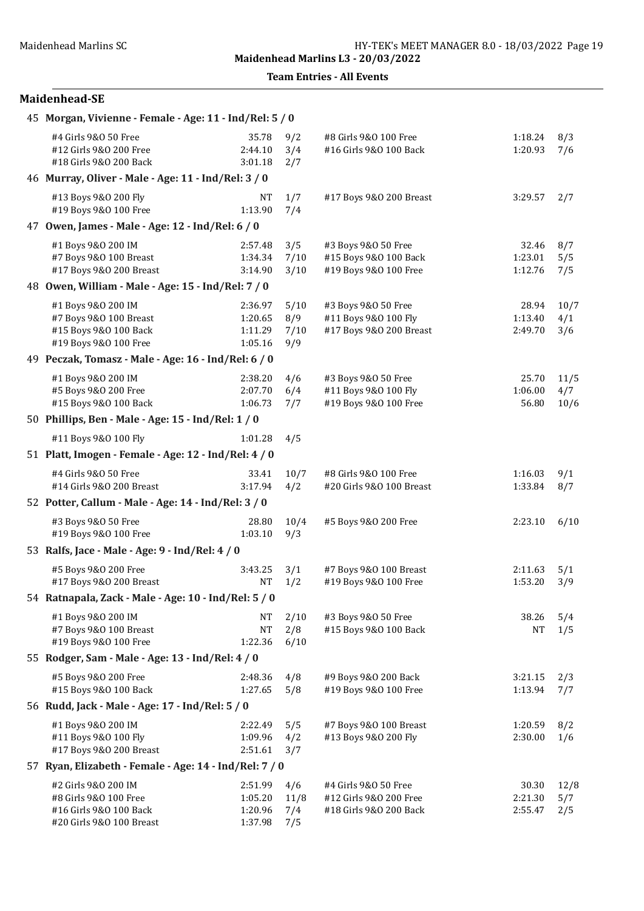Team Entries - All Events

| 45 Morgan, Vivienne - Female - Age: 11 - Ind/Rel: 5 / 0                                                                                               |                                          |                            |                                                                          |                             |                     |  |
|-------------------------------------------------------------------------------------------------------------------------------------------------------|------------------------------------------|----------------------------|--------------------------------------------------------------------------|-----------------------------|---------------------|--|
| #4 Girls 9&0 50 Free<br>#12 Girls 9&0 200 Free<br>#18 Girls 9&0 200 Back                                                                              | 35.78<br>2:44.10<br>3:01.18              | 9/2<br>3/4<br>2/7          | #8 Girls 9&0 100 Free<br>#16 Girls 9&0 100 Back                          | 1:18.24<br>1:20.93          | 8/3<br>7/6          |  |
| 46 Murray, Oliver - Male - Age: 11 - Ind/Rel: 3 / 0                                                                                                   |                                          |                            |                                                                          |                             |                     |  |
| #13 Boys 9&0 200 Fly<br>#19 Boys 9&0 100 Free                                                                                                         | <b>NT</b><br>1:13.90                     | 1/7<br>7/4                 | #17 Boys 9&0 200 Breast                                                  | 3:29.57                     | 2/7                 |  |
| 47 Owen, James - Male - Age: 12 - Ind/Rel: 6 / 0                                                                                                      |                                          |                            |                                                                          |                             |                     |  |
| #1 Boys 9&0 200 IM<br>#7 Boys 9&0 100 Breast<br>#17 Boys 9&0 200 Breast                                                                               | 2:57.48<br>1:34.34<br>3:14.90            | 3/5<br>7/10<br>3/10        | #3 Boys 9&0 50 Free<br>#15 Boys 9&0 100 Back<br>#19 Boys 9&0 100 Free    | 32.46<br>1:23.01<br>1:12.76 | 8/7<br>5/5<br>7/5   |  |
| 48 Owen, William - Male - Age: 15 - Ind/Rel: 7 / 0                                                                                                    |                                          |                            |                                                                          |                             |                     |  |
| #1 Boys 9&0 200 IM<br>#7 Boys 9&0 100 Breast<br>#15 Boys 9&0 100 Back<br>#19 Boys 9&0 100 Free<br>49 Peczak, Tomasz - Male - Age: 16 - Ind/Rel: 6 / 0 | 2:36.97<br>1:20.65<br>1:11.29<br>1:05.16 | 5/10<br>8/9<br>7/10<br>9/9 | #3 Boys 9&0 50 Free<br>#11 Boys 9&0 100 Fly<br>#17 Boys 9&0 200 Breast   | 28.94<br>1:13.40<br>2:49.70 | 10/7<br>4/1<br>3/6  |  |
|                                                                                                                                                       |                                          |                            |                                                                          |                             |                     |  |
| #1 Boys 9&0 200 IM<br>#5 Boys 9&0 200 Free<br>#15 Boys 9&0 100 Back                                                                                   | 2:38.20<br>2:07.70<br>1:06.73            | 4/6<br>6/4<br>7/7          | #3 Boys 9&0 50 Free<br>#11 Boys 9&0 100 Fly<br>#19 Boys 9&0 100 Free     | 25.70<br>1:06.00<br>56.80   | 11/5<br>4/7<br>10/6 |  |
| 50 Phillips, Ben - Male - Age: 15 - Ind/Rel: 1 / 0                                                                                                    |                                          |                            |                                                                          |                             |                     |  |
| #11 Boys 9&0 100 Fly                                                                                                                                  | 1:01.28                                  | 4/5                        |                                                                          |                             |                     |  |
| 51 Platt, Imogen - Female - Age: 12 - Ind/Rel: 4 / 0                                                                                                  |                                          |                            |                                                                          |                             |                     |  |
| #4 Girls 9&0 50 Free<br>#14 Girls 9&0 200 Breast                                                                                                      | 33.41<br>3:17.94                         | 10/7<br>4/2                | #8 Girls 9&0 100 Free<br>#20 Girls 9&0 100 Breast                        | 1:16.03<br>1:33.84          | 9/1<br>8/7          |  |
| 52 Potter, Callum - Male - Age: 14 - Ind/Rel: 3 / 0                                                                                                   |                                          |                            |                                                                          |                             |                     |  |
| #3 Boys 9&0 50 Free<br>#19 Boys 9&0 100 Free                                                                                                          | 28.80<br>1:03.10                         | 10/4<br>9/3                | #5 Boys 9&0 200 Free                                                     | 2:23.10                     | 6/10                |  |
| 53 Ralfs, Jace - Male - Age: 9 - Ind/Rel: 4 / 0                                                                                                       |                                          |                            |                                                                          |                             |                     |  |
| #5 Boys 9&0 200 Free<br>#17 Boys 9&0 200 Breast                                                                                                       | 3:43.25<br><b>NT</b>                     | 3/1<br>1/2                 | #7 Boys 9&0 100 Breast<br>#19 Boys 9&0 100 Free                          | 2:11.63<br>1:53.20          | 5/1<br>3/9          |  |
| 54 Ratnapala, Zack - Male - Age: 10 - Ind/Rel: 5 / 0                                                                                                  |                                          |                            |                                                                          |                             |                     |  |
| #1 Boys 9&0 200 IM<br>#7 Boys 9&0 100 Breast<br>#19 Boys 9&0 100 Free                                                                                 | <b>NT</b><br><b>NT</b><br>1:22.36        | 2/10<br>2/8<br>6/10        | #3 Boys 9&0 50 Free<br>#15 Boys 9&0 100 Back                             | 38.26<br><b>NT</b>          | 5/4<br>1/5          |  |
| 55 Rodger, Sam - Male - Age: 13 - Ind/Rel: 4 / 0                                                                                                      |                                          |                            |                                                                          |                             |                     |  |
| #5 Boys 9&0 200 Free<br>#15 Boys 9&0 100 Back                                                                                                         | 2:48.36<br>1:27.65                       | 4/8<br>5/8                 | #9 Boys 9&0 200 Back<br>#19 Boys 9&0 100 Free                            | 3:21.15<br>1:13.94          | 2/3<br>7/7          |  |
| 56 Rudd, Jack - Male - Age: 17 - Ind/Rel: 5 / 0                                                                                                       |                                          |                            |                                                                          |                             |                     |  |
| #1 Boys 9&0 200 IM<br>#11 Boys 9&0 100 Fly<br>#17 Boys 9&0 200 Breast                                                                                 | 2:22.49<br>1:09.96<br>2:51.61            | 5/5<br>4/2<br>3/7          | #7 Boys 9&0 100 Breast<br>#13 Boys 9&0 200 Fly                           | 1:20.59<br>2:30.00          | 8/2<br>1/6          |  |
| 57 Ryan, Elizabeth - Female - Age: 14 - Ind/Rel: 7 / 0                                                                                                |                                          |                            |                                                                          |                             |                     |  |
| #2 Girls 9&0 200 IM<br>#8 Girls 9&0 100 Free<br>#16 Girls 9&0 100 Back<br>#20 Girls 9&0 100 Breast                                                    | 2:51.99<br>1:05.20<br>1:20.96<br>1:37.98 | 4/6<br>11/8<br>7/4<br>7/5  | #4 Girls 9&0 50 Free<br>#12 Girls 9&0 200 Free<br>#18 Girls 9&0 200 Back | 30.30<br>2:21.30<br>2:55.47 | 12/8<br>5/7<br>2/5  |  |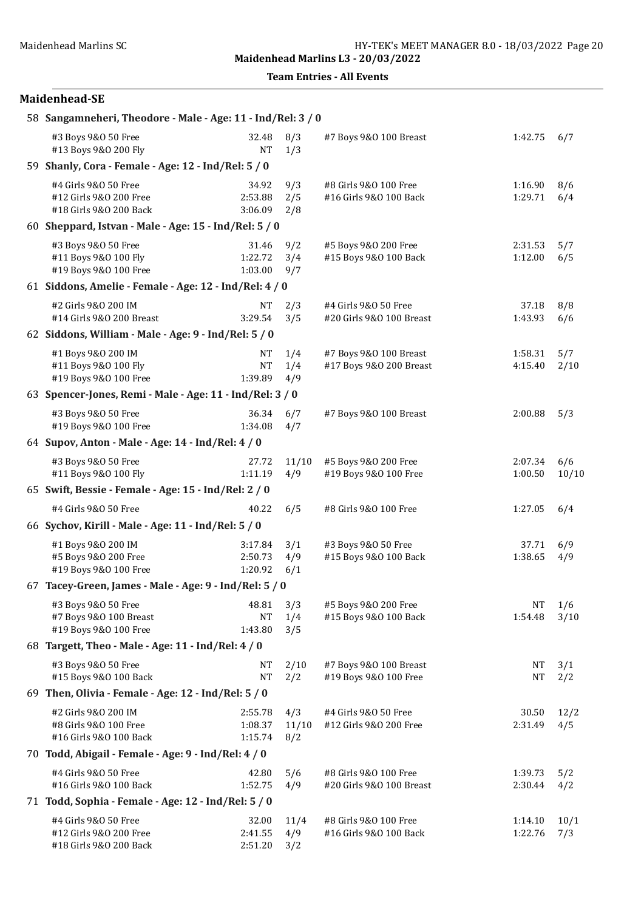Team Entries - All Events

| 58 Sangamneheri, Theodore - Male - Age: 11 - Ind/Rel: 3 / 0              |                               |                     |                                                   |                    |              |  |  |  |
|--------------------------------------------------------------------------|-------------------------------|---------------------|---------------------------------------------------|--------------------|--------------|--|--|--|
| #3 Boys 9&0 50 Free<br>#13 Boys 9&0 200 Fly                              | 32.48<br><b>NT</b>            | 8/3<br>1/3          | #7 Boys 9&0 100 Breast                            | 1:42.75            | 6/7          |  |  |  |
| 59 Shanly, Cora - Female - Age: 12 - Ind/Rel: 5 / 0                      |                               |                     |                                                   |                    |              |  |  |  |
| #4 Girls 9&0 50 Free<br>#12 Girls 9&0 200 Free<br>#18 Girls 9&0 200 Back | 34.92<br>2:53.88<br>3:06.09   | 9/3<br>2/5<br>2/8   | #8 Girls 9&0 100 Free<br>#16 Girls 9&0 100 Back   | 1:16.90<br>1:29.71 | 8/6<br>6/4   |  |  |  |
| 60 Sheppard, Istvan - Male - Age: $15$ - Ind/Rel: $5/0$                  |                               |                     |                                                   |                    |              |  |  |  |
| #3 Boys 9&0 50 Free<br>#11 Boys 9&0 100 Fly<br>#19 Boys 9&0 100 Free     | 31.46<br>1:22.72<br>1:03.00   | 9/2<br>3/4<br>9/7   | #5 Boys 9&0 200 Free<br>#15 Boys 9&0 100 Back     | 2:31.53<br>1:12.00 | 5/7<br>6/5   |  |  |  |
| 61 Siddons, Amelie - Female - Age: 12 - Ind/Rel: 4 / 0                   |                               |                     |                                                   |                    |              |  |  |  |
| #2 Girls 9&0 200 IM<br>#14 Girls 9&0 200 Breast                          | <b>NT</b><br>3:29.54          | 2/3<br>3/5          | #4 Girls 9&0 50 Free<br>#20 Girls 9&0 100 Breast  | 37.18<br>1:43.93   | 8/8<br>6/6   |  |  |  |
| 62 Siddons, William - Male - Age: 9 - Ind/Rel: 5 / 0                     |                               |                     |                                                   |                    |              |  |  |  |
| #1 Boys 9&0 200 IM<br>#11 Boys 9&0 100 Fly<br>#19 Boys 9&0 100 Free      | NT<br><b>NT</b><br>1:39.89    | 1/4<br>1/4<br>4/9   | #7 Boys 9&0 100 Breast<br>#17 Boys 9&0 200 Breast | 1:58.31<br>4:15.40 | 5/7<br>2/10  |  |  |  |
| 63 Spencer-Jones, Remi - Male - Age: 11 - Ind/Rel: 3 / 0                 |                               |                     |                                                   |                    |              |  |  |  |
| #3 Boys 9&0 50 Free<br>#19 Boys 9&0 100 Free                             | 36.34<br>1:34.08              | 6/7<br>4/7          | #7 Boys 9&0 100 Breast                            | 2:00.88            | 5/3          |  |  |  |
| 64 Supov, Anton - Male - Age: 14 - Ind/Rel: 4 / 0                        |                               |                     |                                                   |                    |              |  |  |  |
| #3 Boys 9&0 50 Free<br>#11 Boys 9&0 100 Fly                              | 27.72<br>1:11.19              | 11/10<br>4/9        | #5 Boys 9&0 200 Free<br>#19 Boys 9&0 100 Free     | 2:07.34<br>1:00.50 | 6/6<br>10/10 |  |  |  |
| 65 Swift, Bessie - Female - Age: 15 - Ind/Rel: 2 / 0                     |                               |                     |                                                   |                    |              |  |  |  |
| #4 Girls 9&0 50 Free                                                     | 40.22                         | 6/5                 | #8 Girls 9&0 100 Free                             | 1:27.05            | 6/4          |  |  |  |
| 66 Sychov, Kirill - Male - Age: 11 - Ind/Rel: 5 / 0                      |                               |                     |                                                   |                    |              |  |  |  |
| #1 Boys 9&0 200 IM<br>#5 Boys 9&0 200 Free<br>#19 Boys 9&0 100 Free      | 3:17.84<br>2:50.73<br>1:20.92 | 3/1<br>4/9<br>6/1   | #3 Boys 9&0 50 Free<br>#15 Boys 9&0 100 Back      | 37.71<br>1:38.65   | 6/9<br>4/9   |  |  |  |
| 67 Tacey-Green, James - Male - Age: 9 - Ind/Rel: 5 / 0                   |                               |                     |                                                   |                    |              |  |  |  |
| #3 Boys 9&0 50 Free<br>#7 Boys 9&0 100 Breast<br>#19 Boys 9&0 100 Free   | 48.81<br><b>NT</b><br>1:43.80 | 3/3<br>1/4<br>3/5   | #5 Boys 9&0 200 Free<br>#15 Boys 9&0 100 Back     | NT<br>1:54.48      | 1/6<br>3/10  |  |  |  |
| 68 Targett, Theo - Male - Age: 11 - Ind/Rel: 4 / 0                       |                               |                     |                                                   |                    |              |  |  |  |
| #3 Boys 9&0 50 Free<br>#15 Boys 9&0 100 Back                             | <b>NT</b><br><b>NT</b>        | 2/10<br>2/2         | #7 Boys 9&0 100 Breast<br>#19 Boys 9&0 100 Free   | NT<br>NT           | 3/1<br>2/2   |  |  |  |
| 69 Then, Olivia - Female - Age: $12$ - Ind/Rel: $5/0$                    |                               |                     |                                                   |                    |              |  |  |  |
| #2 Girls 9&0 200 IM<br>#8 Girls 9&0 100 Free<br>#16 Girls 9&0 100 Back   | 2:55.78<br>1:08.37<br>1:15.74 | 4/3<br>11/10<br>8/2 | #4 Girls 9&0 50 Free<br>#12 Girls 9&0 200 Free    | 30.50<br>2:31.49   | 12/2<br>4/5  |  |  |  |
| 70 Todd, Abigail - Female - Age: 9 - Ind/Rel: 4 / 0                      |                               |                     |                                                   |                    |              |  |  |  |
| #4 Girls 9&0 50 Free<br>#16 Girls 9&0 100 Back                           | 42.80<br>1:52.75              | 5/6<br>4/9          | #8 Girls 9&0 100 Free<br>#20 Girls 9&0 100 Breast | 1:39.73<br>2:30.44 | 5/2<br>4/2   |  |  |  |
| 71 Todd, Sophia - Female - Age: 12 - Ind/Rel: 5 / 0                      |                               |                     |                                                   |                    |              |  |  |  |
| #4 Girls 9&0 50 Free<br>#12 Girls 9&0 200 Free<br>#18 Girls 9&0 200 Back | 32.00<br>2:41.55<br>2:51.20   | 11/4<br>4/9<br>3/2  | #8 Girls 9&0 100 Free<br>#16 Girls 9&0 100 Back   | 1:14.10<br>1:22.76 | 10/1<br>7/3  |  |  |  |